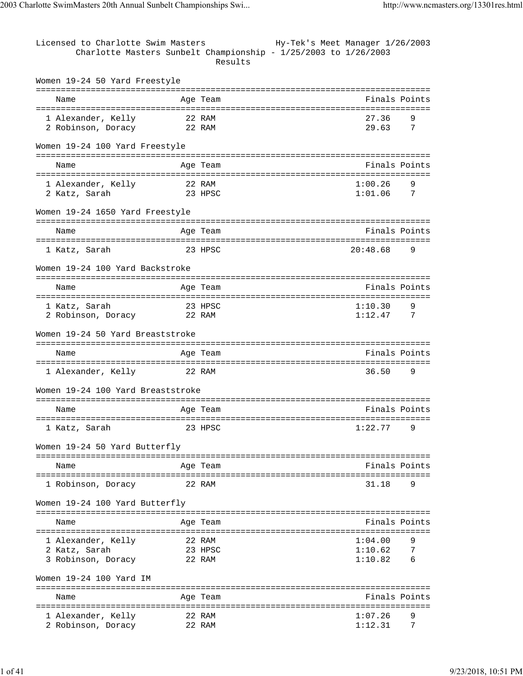| Licensed to Charlotte Swim Masters                |                  | Charlotte Masters Sunbelt Championship - 1/25/2003 to 1/26/2003<br>Results | Hy-Tek's Meet Manager 1/26/2003 |               |
|---------------------------------------------------|------------------|----------------------------------------------------------------------------|---------------------------------|---------------|
| Women 19-24 50 Yard Freestyle                     |                  |                                                                            |                                 |               |
| Name                                              |                  | Age Team                                                                   |                                 | Finals Points |
| 1 Alexander, Kelly<br>2 Robinson, Doracy          | 22 RAM<br>22 RAM | --------------------------                                                 | 27.36<br>29.63                  | 9<br>7        |
| Women 19-24 100 Yard Freestyle                    |                  |                                                                            |                                 |               |
| Name                                              |                  | Age Team                                                                   |                                 | Finals Points |
| 1 Alexander, Kelly<br>2 Katz, Sarah               |                  | 22 RAM<br>23 HPSC                                                          | 1:00.26<br>1:01.06              | 9<br>7        |
| Women 19-24 1650 Yard Freestyle                   |                  |                                                                            |                                 |               |
| Name<br>---------------------                     |                  | Age Team                                                                   |                                 | Finals Points |
| 1 Katz, Sarah                                     |                  | 23 HPSC                                                                    | 20:48.68                        | 9             |
| Women 19-24 100 Yard Backstroke                   |                  |                                                                            |                                 |               |
| Name                                              |                  | Age Team                                                                   |                                 | Finals Points |
| 1 Katz, Sarah<br>2 Robinson, Doracy               |                  | 23 HPSC<br>22 RAM                                                          | 1:10.30<br>1:12.47              | 9<br>7        |
| Women 19-24 50 Yard Breaststroke                  |                  |                                                                            |                                 |               |
| Name                                              |                  | Age Team                                                                   |                                 | Finals Points |
| ===========================<br>1 Alexander, Kelly | 22 RAM           | =============                                                              | ==================<br>36.50     | 9             |
| Women 19-24 100 Yard Breaststroke                 |                  |                                                                            |                                 |               |
| Name                                              |                  | Age Team                                                                   |                                 | Finals Points |
| 1 Katz, Sarah                                     |                  | 23 HPSC                                                                    | 1:22.77                         | 9             |
| Women 19-24 50 Yard Butterfly                     |                  |                                                                            |                                 |               |
| Name                                              |                  | Age Team                                                                   |                                 | Finals Points |
| 1 Robinson, Doracy                                |                  | 22 RAM                                                                     | 31.18                           | 9             |
| Women 19-24 100 Yard Butterfly                    |                  |                                                                            |                                 |               |
| Name                                              |                  | Age Team                                                                   |                                 | Finals Points |
| 1 Alexander, Kelly                                |                  | 22 RAM                                                                     | 1:04.00                         | 9             |
| 2 Katz, Sarah                                     |                  | 23 HPSC                                                                    | 1:10.62                         | 7             |
| 3 Robinson, Doracy                                |                  | 22 RAM                                                                     | 1:10.82                         | 6             |
| Women 19-24 100 Yard IM                           |                  |                                                                            |                                 |               |
| Name                                              |                  | Age Team                                                                   |                                 | Finals Points |
| 1 Alexander, Kelly                                |                  | 22 RAM                                                                     | 1:07.26                         | 9             |
| 2 Robinson, Doracy                                | 22 RAM           |                                                                            | 1:12.31                         | 7             |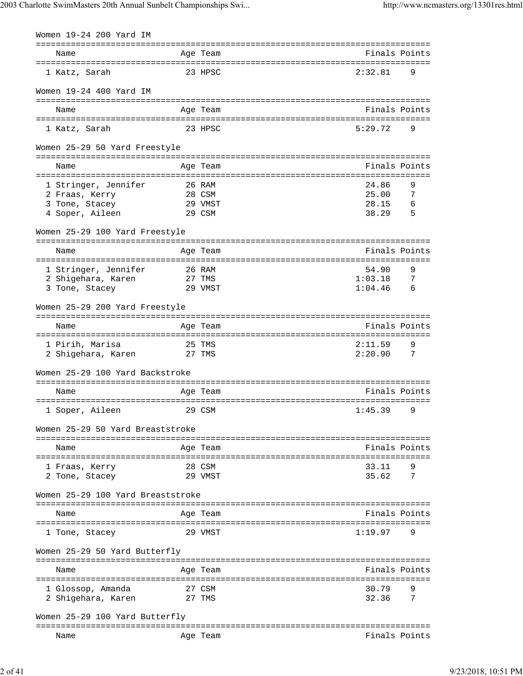| Women 19-24 200 Yard IM                    |                  |            |                                                  |                 |
|--------------------------------------------|------------------|------------|--------------------------------------------------|-----------------|
| Name                                       |                  | Age Team   | -------------------------------<br>Finals Points |                 |
| 1 Katz, Sarah                              |                  | 23 HPSC    | 2:32.81                                          | 9               |
| Women 19-24 400 Yard IM                    |                  |            |                                                  |                 |
| Name                                       |                  | Age Team   | Finals Points                                    |                 |
| 1 Katz, Sarah                              |                  | 23 HPSC    | 5:29.72                                          | 9               |
| Women 25-29 50 Yard Freestyle              |                  |            |                                                  |                 |
| Name<br>:=========================         | ==============   | Age Team   | Finals Points                                    |                 |
| 1 Stringer, Jennifer                       |                  | 26 RAM     | 24.86                                            | 9               |
| 2 Fraas, Kerry                             |                  | 28 CSM     | 25.00                                            | 7               |
| 3 Tone, Stacey                             |                  | 29 VMST    | 28.15                                            | 6               |
| 4 Soper, Aileen                            |                  | 29 CSM     | 38.29                                            | 5               |
| Women 25-29 100 Yard Freestyle             |                  |            |                                                  |                 |
|                                            |                  |            | ===========================                      |                 |
| Name                                       |                  | Age Team   | Finals Points                                    |                 |
|                                            |                  | 26 RAM     | 54.90                                            | 9               |
| 1 Stringer, Jennifer<br>2 Shigehara, Karen |                  | 27 TMS     | 1:03.18                                          | 7               |
| 3 Tone, Stacey                             |                  | 29 VMST    | 1:04.46                                          | $6\overline{6}$ |
|                                            |                  |            |                                                  |                 |
| Women 25-29 200 Yard Freestyle             |                  |            |                                                  |                 |
|                                            |                  |            |                                                  |                 |
| Name                                       |                  | Age Team   | Finals Points                                    |                 |
| 1 Pirih, Marisa                            |                  | 25 TMS     | 2:11.59                                          | 9               |
| 2 Shigehara, Karen                         |                  | 27 TMS     | 2:20.90                                          | 7               |
| Women 25-29 100 Yard Backstroke            |                  |            |                                                  |                 |
|                                            |                  |            |                                                  |                 |
| Name                                       |                  | Age Team   | Finals Points                                    |                 |
| 1 Soper, Aileen                            |                  | 29 CSM     | 1:45.39                                          | 9               |
| Women 25-29 50 Yard Breaststroke           |                  |            |                                                  |                 |
| ---------------------------                |                  |            | ==================================               |                 |
| Name                                       |                  | Age Team   | Finals Points                                    |                 |
| 1 Fraas, Kerry                             |                  | 28 CSM     | 33.11                                            | 9               |
| 2 Tone, Stacey                             |                  | 29 VMST    | 35.62                                            | 7               |
| Women 25-29 100 Yard Breaststroke          |                  |            |                                                  |                 |
|                                            |                  |            |                                                  |                 |
| Name                                       |                  | Age Team   | Finals Points                                    |                 |
| 1 Tone, Stacey                             |                  | 29 VMST    | 1:19.97                                          | 9               |
| Women 25-29 50 Yard Butterfly              |                  |            |                                                  |                 |
|                                            |                  | ---------- |                                                  |                 |
| Name<br>----------------------             | ================ | Age Team   | Finals Points<br>=====================           |                 |
| 1 Glossop, Amanda                          |                  | 27 CSM     | 30.79                                            | 9               |
| 2 Shigehara, Karen                         |                  | 27 TMS     | 32.36                                            | 7               |
| Women 25-29 100 Yard Butterfly             |                  |            |                                                  |                 |
|                                            |                  |            |                                                  |                 |
| Name                                       |                  | Age Team   | Finals Points                                    |                 |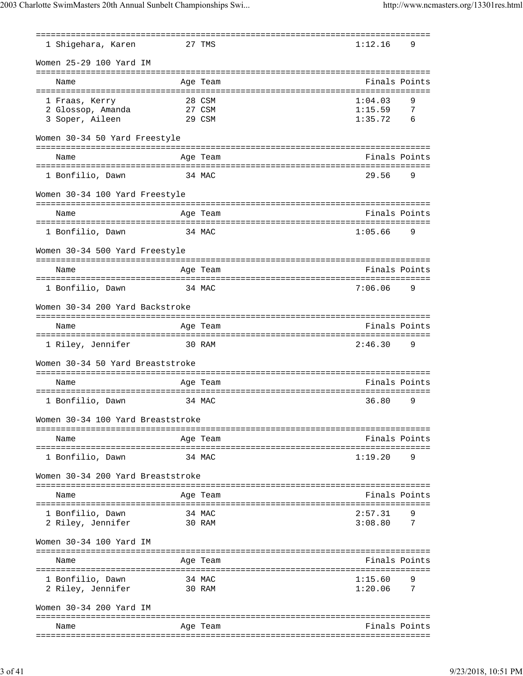| 1 Shigehara, Karen                    |                 | ================<br>27 TMS                        | 1:12.16            | 9              |
|---------------------------------------|-----------------|---------------------------------------------------|--------------------|----------------|
| Women 25-29 100 Yard IM               |                 |                                                   |                    |                |
| ---------------------<br>Name         | =============== | -----------------------------<br>Age Team         |                    | Finals Points  |
| 1 Fraas, Kerry                        |                 | 28 CSM                                            | 1:04.03            | 9              |
| 2 Glossop, Amanda                     |                 | 27 CSM                                            | 1:15.59            | 7              |
| 3 Soper, Aileen                       |                 | 29 CSM                                            | 1:35.72            | 6              |
| Women 30-34 50 Yard Freestyle         |                 |                                                   |                    |                |
| Name                                  |                 | Age Team                                          |                    | Finals Points  |
| 1 Bonfilio, Dawn                      |                 | 34 MAC                                            | 29.56              | 9              |
| Women 30-34 100 Yard Freestyle        |                 |                                                   |                    |                |
| Name                                  |                 | --------------------------------<br>Age Team      |                    | Finals Points  |
| 1 Bonfilio, Dawn                      |                 | =====================================<br>34 MAC   | 1:05.66            | 9              |
| Women 30-34 500 Yard Freestyle        |                 |                                                   |                    |                |
|                                       |                 |                                                   |                    |                |
| Name                                  |                 | Age Team                                          |                    | Finals Points  |
| 1 Bonfilio, Dawn                      |                 | 34 MAC                                            | 7:06.06            | 9              |
| Women 30-34 200 Yard Backstroke       |                 |                                                   |                    |                |
| Name                                  |                 | Age Team                                          |                    | Finals Points  |
| =========================             |                 | =============<br>================================ |                    |                |
| 1 Riley, Jennifer                     |                 | 30 RAM                                            | 2:46.30            | 9              |
| Women 30-34 50 Yard Breaststroke      |                 |                                                   |                    |                |
| Name                                  |                 | Age Team                                          |                    | Finals Points  |
|                                       |                 |                                                   |                    |                |
| 1 Bonfilio, Dawn                      |                 | 34 MAC                                            | 36.80              | 9              |
| Women 30-34 100 Yard Breaststroke     |                 |                                                   |                    |                |
| Name                                  |                 | Age Team                                          |                    | Finals Points  |
| 1 Bonfilio, Dawn                      |                 | 34 MAC                                            | 1:19.20            | 9              |
| Women 30-34 200 Yard Breaststroke     |                 |                                                   |                    |                |
| Name                                  |                 | Age Team                                          |                    | Finals Points  |
|                                       |                 |                                                   |                    |                |
| 1 Bonfilio, Dawn<br>2 Riley, Jennifer |                 | 34 MAC<br>30 RAM                                  | 2:57.31<br>3:08.80 | 9<br>7         |
|                                       |                 |                                                   |                    |                |
| Women 30-34 100 Yard IM               |                 |                                                   |                    |                |
| Name                                  |                 | Age Team                                          |                    | Finals Points  |
| 1 Bonfilio, Dawn                      |                 | 34 MAC                                            | 1:15.60            | 9              |
| 2 Riley, Jennifer                     |                 | 30 RAM                                            | 1:20.06            | $\overline{7}$ |
| Women 30-34 200 Yard IM               |                 |                                                   |                    |                |
| Name                                  |                 | Age Team                                          |                    | Finals Points  |
|                                       |                 |                                                   |                    |                |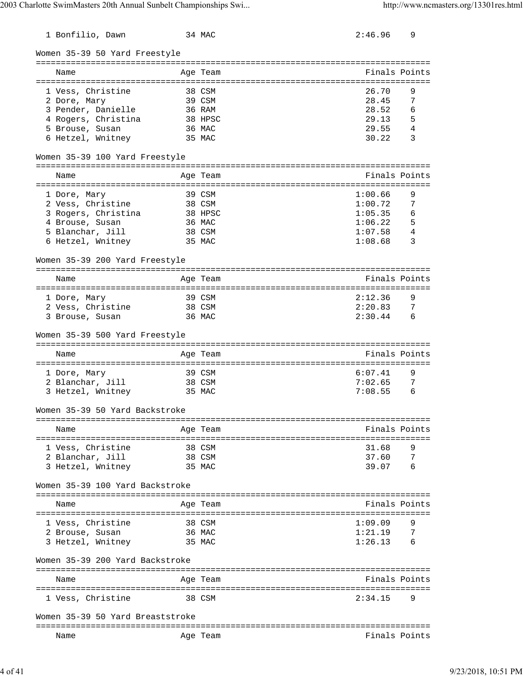| 1 Bonfilio, Dawn                         | 34 MAC            | 2:46.96                                                | 9      |
|------------------------------------------|-------------------|--------------------------------------------------------|--------|
| Women 35-39 50 Yard Freestyle            |                   |                                                        |        |
|                                          |                   |                                                        |        |
| Name                                     | Age Team          | Finals Points<br>------------------------------------- |        |
| 1 Vess, Christine                        | 38 CSM            | 26.70                                                  | 9      |
| 2 Dore, Mary                             | 39 CSM            | 28.45                                                  | 7      |
| 3 Pender, Danielle                       | 36 RAM            | 28.52                                                  | 6      |
| 4 Rogers, Christina                      | 38 HPSC           | 29.13                                                  | 5      |
| 5 Brouse, Susan                          | 36 MAC            | 29.55                                                  | 4      |
| 6 Hetzel, Wnitney                        | 35 MAC            | 30.22                                                  | 3      |
| Women 35-39 100 Yard Freestyle           |                   |                                                        |        |
| ------------------------------           | ----------        |                                                        |        |
| Name                                     | Age Team          | Finals Points                                          |        |
|                                          |                   |                                                        |        |
| 1 Dore, Mary                             | 39 CSM<br>38 CSM  | 1:00.66<br>1:00.72                                     | 9<br>7 |
| 2 Vess, Christine<br>3 Rogers, Christina |                   | 1:05.35                                                | 6      |
|                                          | 38 HPSC<br>36 MAC | 1:06.22                                                | 5      |
| 4 Brouse, Susan<br>5 Blanchar, Jill      | 38 CSM            | 1:07.58                                                | 4      |
| 6 Hetzel, Wnitney                        | 35 MAC            | 1:08.68                                                | 3      |
|                                          |                   |                                                        |        |
| Women 35-39 200 Yard Freestyle           |                   |                                                        |        |
| Name                                     | Age Team          | Finals Points                                          |        |
| 1 Dore, Mary                             | 39 CSM            | 2:12.36                                                | 9      |
| 2 Vess, Christine                        | 38 CSM            | 2:20.83                                                | - 7    |
| 3 Brouse, Susan                          | 36 MAC            | 2:30.44                                                | 6      |
| Women 35-39 500 Yard Freestyle           |                   |                                                        |        |
| Name                                     | Age Team          | Finals Points                                          |        |
|                                          |                   |                                                        |        |
| 1 Dore, Mary                             | 39 CSM            | 6:07.41                                                | 9      |
| 2 Blanchar, Jill                         | 38 CSM            | 7:02.65                                                | 7      |
| 3 Hetzel, Wnitney                        | 35 MAC            | 7:08.55                                                | 6      |
| Women 35-39 50 Yard Backstroke           |                   |                                                        |        |
|                                          |                   | Finals Points                                          |        |
| Name                                     | Age Team          |                                                        |        |
| 1 Vess, Christine                        | 38 CSM            | 31.68                                                  | 9      |
| 2 Blanchar, Jill                         | 38 CSM            | 37.60                                                  | 7      |
| 3 Hetzel, Wnitney                        | 35 MAC            | 39.07                                                  | 6      |
| Women 35-39 100 Yard Backstroke          |                   |                                                        |        |
|                                          |                   |                                                        |        |
| Name                                     | Age Team          | Finals Points                                          |        |
| 1 Vess, Christine                        | 38 CSM            | 1:09.09                                                | 9      |
| 2 Brouse, Susan                          | 36 MAC            | 1:21.19                                                | 7      |
| 3 Hetzel, Wnitney                        | 35 MAC            | 1:26.13                                                | 6      |
| Women 35-39 200 Yard Backstroke          |                   |                                                        |        |
| Name                                     | Age Team          | Finals Points                                          |        |
| ---------------------                    |                   |                                                        |        |
| 1 Vess, Christine                        | 38 CSM            | 2:34.15                                                | 9      |
| Women 35-39 50 Yard Breaststroke         |                   |                                                        |        |
| Name                                     | Age Team          | Finals Points                                          |        |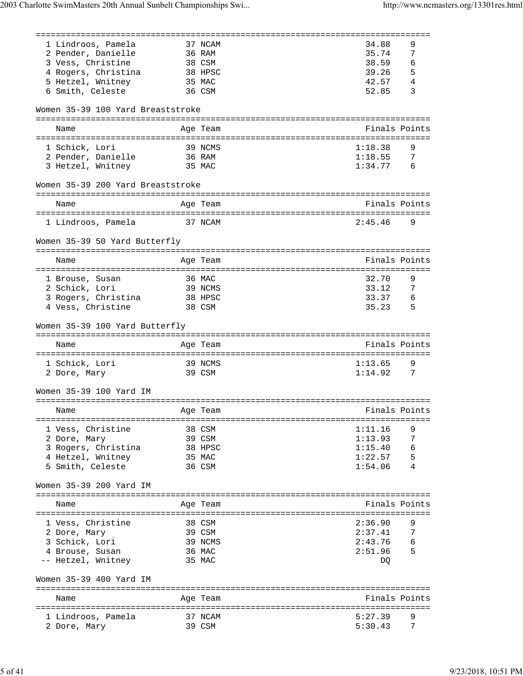| 1 Lindroos, Pamela                 |         | 37 NCAM           | 34.88              | 9              |
|------------------------------------|---------|-------------------|--------------------|----------------|
| 2 Pender, Danielle                 |         | 36 RAM            | 35.74              | 7              |
| 3 Vess, Christine                  |         | 38 CSM            | 38.59              | 6              |
| 4 Rogers, Christina                | 38 HPSC |                   | 39.26              | 5              |
| 5 Hetzel, Wnitney                  |         | 35 MAC            | 42.57              | 4              |
|                                    |         |                   | 52.85              | 3              |
| 6 Smith, Celeste                   |         | 36 CSM            |                    |                |
| Women 35-39 100 Yard Breaststroke  |         |                   |                    |                |
| Name                               |         | Age Team          | Finals Points      |                |
|                                    |         |                   |                    |                |
| 1 Schick, Lori                     |         |                   |                    |                |
|                                    |         | 39 NCMS           | 1:18.38            | 9              |
| 2 Pender, Danielle                 |         | 36 RAM            | 1:18.55            | $\overline{7}$ |
| 3 Hetzel, Wnitney                  |         | 35 MAC            | 1:34.77            | - 6            |
| Women 35-39 200 Yard Breaststroke  |         |                   |                    |                |
|                                    |         | Age Team          | Finals Points      |                |
| Name                               |         |                   |                    |                |
| 1 Lindroos, Pamela                 | 37 NCAM |                   | 2:45.46            | 9              |
|                                    |         |                   |                    |                |
| Women 35-39 50 Yard Butterfly      |         |                   |                    |                |
| Name                               |         | Age Team          | Finals Points      |                |
|                                    |         |                   |                    |                |
| 1 Brouse, Susan                    | 36 MAC  |                   | 32.70              | 9              |
| 2 Schick, Lori                     |         | 39 NCMS           | 33.12              | 7              |
|                                    |         |                   | 33.37              |                |
| 3 Rogers, Christina 38 HPSC        |         |                   |                    | 6              |
| 4 Vess, Christine                  |         | 38 CSM            | 35.23              | - 5            |
|                                    |         |                   |                    |                |
| Women 35-39 100 Yard Butterfly     |         |                   |                    |                |
|                                    |         |                   |                    |                |
| Name                               |         | Age Team          | Finals Points      |                |
|                                    |         |                   |                    |                |
| 1 Schick, Lori                     |         | 39 NCMS           | 1:13.65            | 9              |
| 2 Dore, Mary                       |         | 39 CSM            | 1:14.92            | $\overline{7}$ |
| Women 35-39 100 Yard IM            |         |                   |                    |                |
|                                    |         |                   |                    |                |
| Name                               |         | Age Team          | Finals Points      |                |
|                                    |         |                   |                    |                |
| 1 Vess, Christine                  |         | 38 CSM            | 1:11.16            | 9              |
| 2 Dore, Mary                       |         | 39 CSM            | 1:13.93            | 7              |
| 3 Rogers, Christina                |         | 38 HPSC           |                    | 6              |
|                                    |         |                   | 1:15.40<br>1:22.57 |                |
| 4 Hetzel, Wnitney 35 MAC           |         |                   |                    | 5<br>4         |
| 5 Smith, Celeste                   |         | 36 CSM            | 1:54.06            |                |
| Women 35-39 200 Yard IM            |         |                   |                    |                |
|                                    |         |                   |                    |                |
| Name                               |         | Age Team          | Finals Points      |                |
|                                    |         |                   |                    |                |
| 1 Vess, Christine                  | 38 CSM  |                   | 2:36.90            |                |
| 2 Dore, Mary                       |         | 39 CSM            | 2:37.41            | -7             |
| 3 Schick, Lori                     |         | 39 NCMS           |                    | 6              |
| 4 Brouse, Susan                    |         | 36 MAC            | 2:43.76<br>2:51.96 | - 5            |
| -- Hetzel, Wnitney                 |         | 35 MAC            | DQ                 |                |
|                                    |         |                   |                    |                |
| Women 35-39 400 Yard IM            |         |                   |                    |                |
|                                    |         |                   |                    |                |
| Name                               |         | Age Team          | Finals Points      |                |
|                                    |         |                   |                    |                |
| 1 Lindroos, Pamela<br>2 Dore, Mary |         | 37 NCAM<br>39 CSM | 5:27.39<br>5:30.43 | 9<br>7         |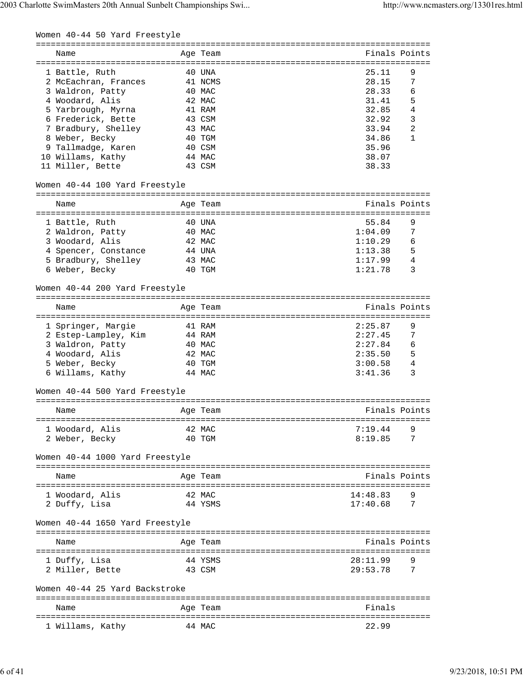| Name                            |        | Age Team | Finals Points           |
|---------------------------------|--------|----------|-------------------------|
| 1 Battle, Ruth                  |        | 40 UNA   | 25.11<br>9              |
| 2 McEachran, Frances            |        | 41 NCMS  | 28.15<br>7              |
| 3 Waldron, Patty                |        | 40 MAC   | 28.33<br>6              |
| 4 Woodard, Alis                 |        | 42 MAC   | 5<br>31.41              |
|                                 |        |          | $\overline{4}$<br>32.85 |
| 5 Yarbrough, Myrna              |        | 41 RAM   |                         |
| 6 Frederick, Bette              |        | 43 CSM   | 3<br>32.92              |
| 7 Bradbury, Shelley             |        | 43 MAC   | 2<br>33.94              |
| 8 Weber, Becky                  |        | 40 TGM   | 34.86<br>1              |
| 9 Tallmadge, Karen              |        | 40 CSM   | 35.96                   |
| 10 Willams, Kathy               |        | 44 MAC   | 38.07                   |
| 11 Miller, Bette                |        | 43 CSM   | 38.33                   |
| Women 40-44 100 Yard Freestyle  |        |          |                         |
| Name                            |        | Age Team | Finals Points           |
| 1 Battle, Ruth                  |        | 40 UNA   | 55.84<br>9              |
| 2 Waldron, Patty                |        | 40 MAC   | 1:04.09<br>7            |
| 3 Woodard, Alis                 |        | 42 MAC   | 1:10.29<br>6            |
| 4 Spencer, Constance            |        | 44 UNA   | 5<br>1:13.38            |
| 5 Bradbury, Shelley             |        | 43 MAC   | 1:17.99<br>4            |
|                                 |        |          | 1:21.78<br>3            |
| 6 Weber, Becky                  |        | 40 TGM   |                         |
| Women 40-44 200 Yard Freestyle  |        |          |                         |
| Name                            |        | Age Team | Finals Points           |
|                                 |        | 41 RAM   | 2:25.87<br>9            |
| 1 Springer, Margie              |        |          |                         |
| 2 Estep-Lampley, Kim            |        | 44 RAM   | 2:27.45<br>7            |
| 3 Waldron, Patty                |        | 40 MAC   | 2:27.84<br>6            |
| 4 Woodard, Alis                 |        | 42 MAC   | 5<br>2:35.50            |
| 5 Weber, Becky                  |        | 40 TGM   | 4<br>3:00.58            |
| 6 Willams, Kathy                |        | 44 MAC   | 3<br>3:41.36            |
| Women 40-44 500 Yard Freestyle  |        |          |                         |
| Age Team<br>Name                |        |          | Finals Points           |
|                                 |        |          |                         |
| 1 Woodard, Alis                 |        | 42 MAC   | 7:19.44                 |
| 2 Weber, Becky                  |        | 40 TGM   | 8:19.85<br>7            |
| Women 40-44 1000 Yard Freestyle |        |          |                         |
| Name                            |        | Age Team | Finals Points           |
|                                 |        |          |                         |
| 1 Woodard, Alis                 | 42 MAC |          | 14:48.83<br>9           |
| 2 Duffy, Lisa                   |        | 44 YSMS  | $17:40.68$ 7            |
| Women 40-44 1650 Yard Freestyle |        |          |                         |
| Name                            |        | Age Team | Finals Points           |
|                                 |        |          |                         |
| 1 Duffy, Lisa                   |        | 44 YSMS  | 28:11.99                |
| 2 Miller, Bette                 | 43 CSM |          | 29:53.78<br>7           |
| Women 40-44 25 Yard Backstroke  |        |          |                         |
| Name                            |        | Age Team | Finals                  |
| 1 Willams, Kathy 44 MAC         |        |          | 22.99                   |
|                                 |        |          |                         |

1 Willams, Kathy 44 MAC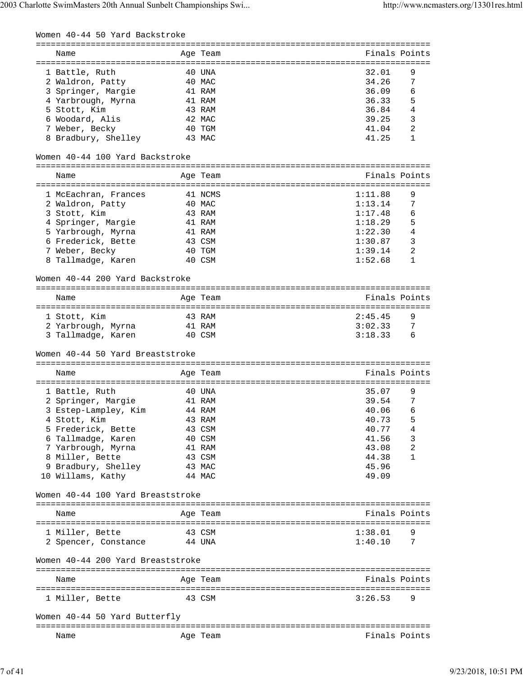| Women 40-44 50 Yard Backstroke           |                  |                                             |
|------------------------------------------|------------------|---------------------------------------------|
| Name                                     | Age Team         | ==========================<br>Finals Points |
|                                          |                  |                                             |
| 1 Battle, Ruth                           | 40 UNA           | 32.01<br>9                                  |
| 2 Waldron, Patty                         | 40 MAC           | 34.26<br>7                                  |
| 3 Springer, Margie                       | 41 RAM           | 36.09<br>6                                  |
| 4 Yarbrough, Myrna                       | 41 RAM           | 5<br>36.33                                  |
| 5 Stott, Kim                             | 43 RAM           | $\overline{4}$<br>36.84                     |
| 6 Woodard, Alis                          | 42 MAC           | 3<br>39.25                                  |
| 7 Weber, Becky                           | 40 TGM           | 2<br>41.04                                  |
| 8 Bradbury, Shelley                      | 43 MAC           | 41.25<br>1                                  |
| Women 40-44 100 Yard Backstroke          |                  |                                             |
| Name                                     | Age Team         | Finals Points                               |
|                                          |                  | ==========================                  |
| 1 McEachran, Frances                     | 41 NCMS          | 1:11.88<br>9                                |
| 2 Waldron, Patty                         | 40 MAC           | 1:13.14<br>7                                |
| 3 Stott, Kim                             | 43 RAM           | 6<br>1:17.48                                |
| 4 Springer, Margie                       | 41 RAM           | 5<br>1:18.29                                |
| 5 Yarbrough, Myrna                       | 41 RAM           | 4<br>1:22.30                                |
| 6 Frederick, Bette                       | 43 CSM           | 3<br>1:30.87                                |
|                                          |                  | 2                                           |
| 7 Weber, Becky                           | 40 TGM           | 1:39.14                                     |
| 8 Tallmadge, Karen                       | 40 CSM           | 1:52.68<br>1                                |
| Women 40-44 200 Yard Backstroke          |                  |                                             |
| Name                                     | Age Team         | Finals Points                               |
| 1 Stott, Kim                             | 43 RAM           | 2:45.45<br>9                                |
| 2 Yarbrough, Myrna                       | 41 RAM           | 3:02.33<br>7                                |
| 3 Tallmadge, Karen                       | 40 CSM           | 3:18.33<br>6                                |
| Women 40-44 50 Yard Breaststroke         |                  |                                             |
|                                          |                  |                                             |
| Name                                     | Age Team         | Finals Points                               |
| 1 Battle, Ruth                           | 40 UNA           | 35.07<br>9                                  |
| 2 Springer, Margie                       | 41 RAM           | 39.54<br>7                                  |
| 3 Estep-Lampley, Kim                     | 44 RAM           | 40.06<br>6                                  |
| 4 Stott, Kim                             | 43 RAM           | 40.73<br>5                                  |
| 5 Frederick, Bette                       | 43 CSM           | 40.77<br>4                                  |
|                                          |                  |                                             |
| 6 Tallmadge, Karen                       | 40 CSM           | 3<br>41.56                                  |
| 7 Yarbrough, Myrna                       | 41 RAM           | 2<br>43.08                                  |
| 8 Miller, Bette                          | 43 CSM           | 44.38<br>1                                  |
| 9 Bradbury, Shelley<br>10 Willams, Kathy | 43 MAC<br>44 MAC | 45.96<br>49.09                              |
| Women 40-44 100 Yard Breaststroke        |                  |                                             |
|                                          |                  |                                             |
| Name                                     | Age Team         | Finals Points                               |
|                                          |                  |                                             |
| 1 Miller, Bette                          | 43 CSM           | 1:38.01                                     |
| 2 Spencer, Constance 44 UNA              |                  | 1:40.10<br>7                                |
| Women 40-44 200 Yard Breaststroke        |                  |                                             |
| Name                                     | Age Team         | Finals Points                               |
| 1 Miller, Bette                          | 43 CSM           | 3:26.53<br>9                                |
| Women 40-44 50 Yard Butterfly            |                  |                                             |
| Name                                     |                  | Finals Points                               |
|                                          | Age Team         |                                             |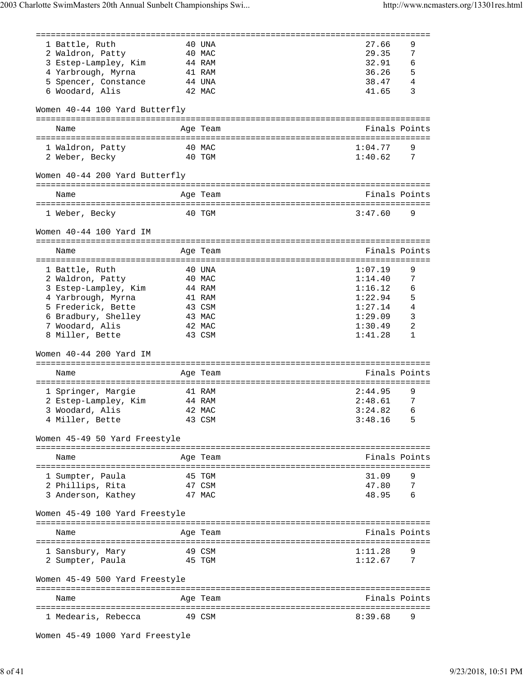| 1 Battle, Ruth                       | 40 UNA   | 27.66                                   | 9              |
|--------------------------------------|----------|-----------------------------------------|----------------|
| 2 Waldron, Patty                     | 40 MAC   | 29.35                                   | 7              |
| 3 Estep-Lampley, Kim                 | 44 RAM   | 32.91                                   | 6              |
| 4 Yarbrough, Myrna                   | 41 RAM   | 36.26                                   | 5              |
|                                      | 44 UNA   | 38.47                                   | $\overline{4}$ |
| 5 Spencer, Constance                 |          |                                         |                |
| 6 Woodard, Alis                      | 42 MAC   | 41.65                                   | 3              |
| Women 40-44 100 Yard Butterfly       |          |                                         |                |
| Name                                 | Age Team | Finals Points                           |                |
|                                      |          |                                         |                |
| 1 Waldron, Patty                     | 40 MAC   | 1:04.77                                 | 9              |
| 2 Weber, Becky                       | 40 TGM   | 1:40.62                                 | 7              |
| Women 40-44 200 Yard Butterfly       |          |                                         |                |
| Name                                 | Age Team |                                         | Finals Points  |
|                                      |          |                                         |                |
| 1 Weber, Becky                       | 40 TGM   | 3:47.60                                 | 9              |
| Women 40-44 100 Yard IM              |          |                                         |                |
| Name                                 | Age Team | Finals Points                           |                |
|                                      |          | ===================================     |                |
| 1 Battle, Ruth                       | 40 UNA   | 1:07.19                                 | 9              |
| 2 Waldron, Patty                     | 40 MAC   | 1:14.40                                 | 7              |
| 3 Estep-Lampley, Kim                 | 44 RAM   | 1:16.12                                 | 6              |
| 4 Yarbrough, Myrna                   | 41 RAM   | 1:22.94                                 | 5              |
| 5 Frederick, Bette                   | 43 CSM   | 1:27.14                                 | 4              |
| 6 Bradbury, Shelley                  | 43 MAC   | 1:29.09                                 | 3              |
| 7 Woodard, Alis                      | 42 MAC   | 1:30.49                                 | 2              |
| 8 Miller, Bette                      | 43 CSM   | 1:41.28                                 | 1              |
| Women 40-44 200 Yard IM              |          |                                         |                |
|                                      |          |                                         |                |
| Name                                 | Age Team | Finals Points                           |                |
|                                      | 41 RAM   | ============================<br>2:44.95 | 9              |
| 1 Springer, Margie                   |          | 2:48.61                                 |                |
| 2 Estep-Lampley, Kim                 | 44 RAM   |                                         | 7              |
| 3 Woodard, Alis                      | 42 MAC   | 3:24.82                                 | 6              |
| 4 Miller, Bette                      | 43 CSM   | 3:48.16                                 | 5              |
| Women 45-49 50 Yard Freestyle        |          |                                         |                |
| Name                                 | Age Team | Finals Points                           |                |
|                                      |          |                                         |                |
| 1 Sumpter, Paula                     | 45 TGM   | 31.09                                   | 9              |
| 2 Phillips, Rita                     | 47 CSM   | 47.80                                   | 7              |
| 3 Anderson, Kathey                   | 47 MAC   | 48.95                                   |                |
|                                      |          |                                         |                |
| Women 45-49 100 Yard Freestyle       |          |                                         |                |
| Name                                 | Age Team | Finals Points                           |                |
|                                      | 49 CSM   | 1:11.28                                 | 9              |
| 1 Sansbury, Mary<br>2 Sumpter, Paula | 45 TGM   | 1:12.67                                 | 7              |
| Women 45-49 500 Yard Freestyle       |          |                                         |                |
|                                      |          |                                         |                |
| Name                                 | Age Team | Finals Points                           |                |
|                                      |          |                                         |                |
| 1 Medearis, Rebecca                  | 49 CSM   | 8:39.68                                 | 9              |

Women 45-49 1000 Yard Freestyle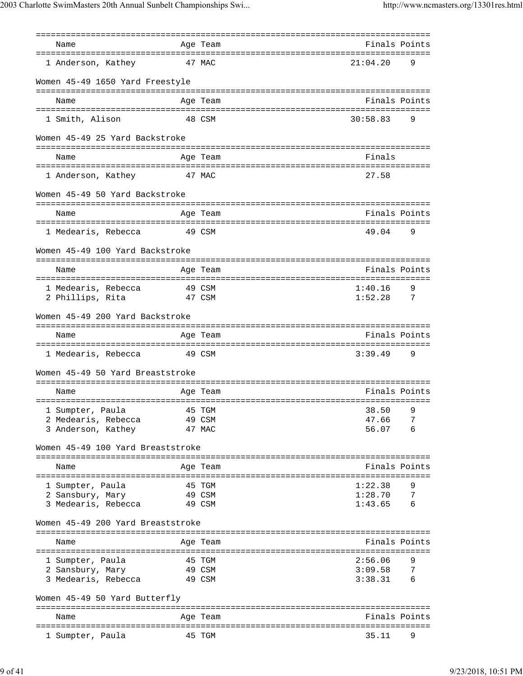| Name                              |        | Age Team         | Finals Points              |
|-----------------------------------|--------|------------------|----------------------------|
|                                   |        |                  |                            |
| 1 Anderson, Kathey                | 47 MAC |                  | 21:04.20<br>9              |
| Women 45-49 1650 Yard Freestyle   |        |                  |                            |
| Name                              |        | Age Team         | Finals Points              |
| 1 Smith, Alison                   | 48 CSM |                  | 30:58.83<br>$\overline{9}$ |
| Women 45-49 25 Yard Backstroke    |        |                  |                            |
| Name                              |        | Age Team         | Finals                     |
| 1 Anderson, Kathey                | 47 MAC |                  | 27.58                      |
| Women 45-49 50 Yard Backstroke    |        |                  |                            |
| Name                              |        | Age Team         | Finals Points              |
|                                   |        |                  |                            |
| 1 Medearis, Rebecca 49 CSM        |        |                  | 49.04<br>- 9               |
| Women 45-49 100 Yard Backstroke   |        |                  |                            |
| Name                              |        | Age Team         | Finals Points              |
|                                   |        |                  |                            |
| 1 Medearis, Rebecca               | 49 CSM |                  | 1:40.16<br>9               |
| 2 Phillips, Rita                  |        | 47 CSM           | 1:52.28<br>- 7             |
| Women 45-49 200 Yard Backstroke   |        |                  |                            |
| Name                              |        | Age Team         | Finals Points              |
| 1 Medearis, Rebecca 49 CSM        |        |                  | $3:39.49$ 9                |
| Women 45-49 50 Yard Breaststroke  |        |                  |                            |
| Name                              |        | Age Team         | Finals Points              |
|                                   |        |                  |                            |
| 1 Sumpter, Paula 45 TGM           |        |                  | 38.50<br>Q                 |
| 2 Medearis, Rebecca               |        | 49 CSM<br>47 MAC | 7<br>47.66<br>56.07<br>6   |
| 3 Anderson, Kathey                |        |                  |                            |
| Women 45-49 100 Yard Breaststroke |        |                  |                            |
| Name                              |        | Age Team         | Finals Points              |
| 1 Sumpter, Paula                  |        | 45 TGM           | 1:22.38                    |
| 2 Sansbury, Mary                  |        | 49 CSM           | 1:28.70<br>7               |
| 3 Medearis, Rebecca               |        | 49 CSM           | 6<br>1:43.65               |
| Women 45-49 200 Yard Breaststroke |        |                  |                            |
| Name                              |        | Age Team         | Finals Points              |
|                                   |        |                  |                            |
| 1 Sumpter, Paula                  |        | 45 TGM           | 2:56.06                    |
| 2 Sansbury, Mary                  | 49 CSM |                  | 3:09.58<br>7<br>6          |
| 3 Medearis, Rebecca               |        | 49 CSM           | 3:38.31                    |
| Women 45-49 50 Yard Butterfly     |        |                  |                            |
| Name                              |        | Age Team         | Finals Points              |
|                                   |        |                  |                            |
| 1 Sumpter, Paula                  |        | 45 TGM           | 35.11<br>9                 |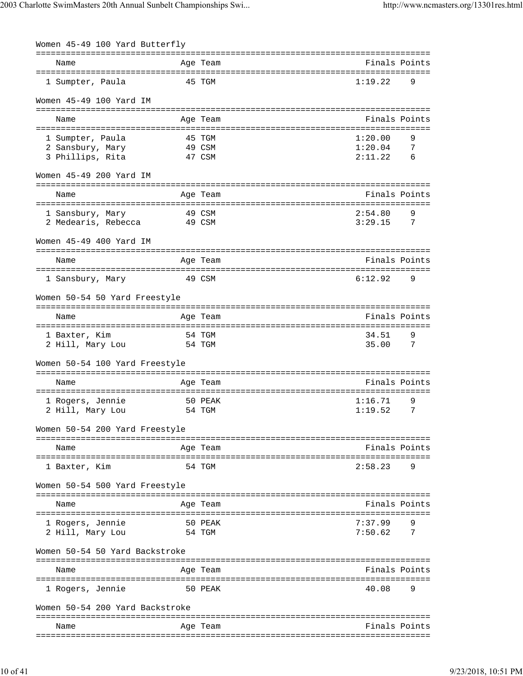| Women 45-49 100 Yard Butterfly                                  |        |                                                 |                                |               |
|-----------------------------------------------------------------|--------|-------------------------------------------------|--------------------------------|---------------|
| Name                                                            |        | =================================<br>Age Team   |                                | Finals Points |
| 1 Sumpter, Paula                                                |        | 45 TGM                                          | 1:19.22                        | 9             |
| Women 45-49 100 Yard IM                                         |        |                                                 |                                |               |
| Name                                                            |        | Age Team                                        |                                | Finals Points |
|                                                                 |        |                                                 |                                |               |
| 1 Sumpter, Paula                                                |        | 45 TGM                                          | 1:20.00                        | 9             |
| 2 Sansbury, Mary                                                |        | 49 CSM                                          | 1:20.04                        | 7             |
| 3 Phillips, Rita                                                |        | 47 CSM                                          | 2:11.22                        | 6             |
| Women 45-49 200 Yard IM                                         |        |                                                 | ------------------------------ |               |
| Name                                                            |        | Age Team                                        | Finals Points                  |               |
|                                                                 |        |                                                 |                                |               |
| 1 Sansbury, Mary                                                |        | 49 CSM                                          | 2:54.80                        | 9             |
| 2 Medearis, Rebecca                                             |        | 49 CSM                                          | 3:29.15                        | 7             |
| Women 45-49 400 Yard IM                                         |        |                                                 |                                |               |
| Name                                                            |        | Age Team                                        | Finals Points                  |               |
| 1 Sansbury, Mary                                                |        | 49 CSM                                          | 6:12.92                        | 9             |
| Women 50-54 50 Yard Freestyle                                   |        |                                                 |                                |               |
| Name<br>---------------------                                   |        | Age Team<br>:==============                     | ================               | Finals Points |
| 1 Baxter, Kim                                                   | 54 TGM |                                                 | 34.51                          | 9             |
| 2 Hill, Mary Lou                                                |        | 54 TGM                                          | 35.00                          | 7             |
| Women 50-54 100 Yard Freestyle                                  |        |                                                 |                                |               |
|                                                                 |        |                                                 | Finals Points                  |               |
| Name                                                            |        | Age Team                                        |                                |               |
| 1 Rogers, Jennie                                                |        | 50 PEAK                                         | 1:16.71                        | 9             |
| 2 Hill, Mary Lou                                                |        | 54 TGM                                          | 1:19.52                        | 7             |
| Women 50-54 200 Yard Freestyle                                  |        |                                                 |                                |               |
|                                                                 |        |                                                 |                                |               |
| Name                                                            |        | Age Team                                        |                                | Finals Points |
| 1 Baxter, Kim                                                   |        | 54 TGM                                          | 2:58.23                        | 9             |
| Women 50-54 500 Yard Freestyle<br>============================= |        | ------------<br>=============================== |                                |               |
| Name                                                            |        | Age Team                                        |                                | Finals Points |
| 1 Rogers, Jennie                                                |        | 50 PEAK                                         | 7:37.99                        | 9             |
| 2 Hill, Mary Lou                                                |        | 54 TGM                                          | 7:50.62                        | 7             |
| Women 50-54 50 Yard Backstroke                                  |        |                                                 |                                |               |
| Name                                                            |        | Age Team                                        |                                | Finals Points |
| 1 Rogers, Jennie                                                |        | 50 PEAK                                         | :===========<br>40.08          | 9             |
| Women 50-54 200 Yard Backstroke                                 |        |                                                 |                                |               |
|                                                                 |        |                                                 |                                |               |
| Name                                                            |        | Age Team                                        |                                | Finals Points |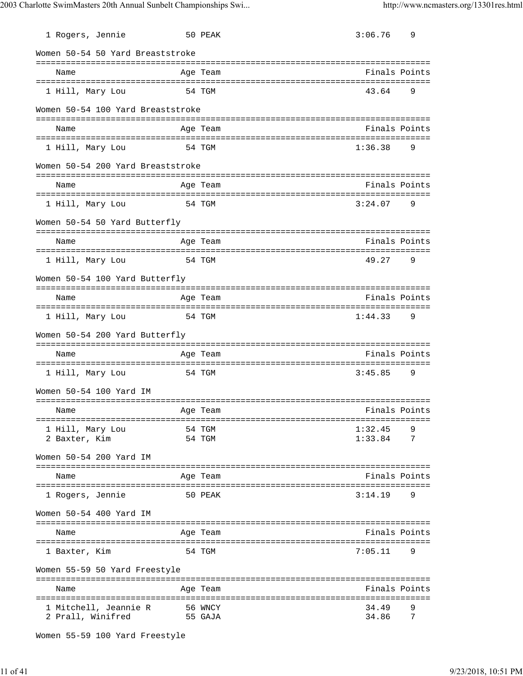| 1 Rogers, Jennie                           |          | 50 PEAK            | 3:06.76        | 9             |
|--------------------------------------------|----------|--------------------|----------------|---------------|
| Women 50-54 50 Yard Breaststroke           |          |                    |                |               |
| Name                                       |          | Age Team           | Finals Points  |               |
| 1 Hill, Mary Lou                           |          | 54 TGM             | 43.64          | 9             |
| Women 50-54 100 Yard Breaststroke          |          |                    |                |               |
| Name                                       |          | Age Team           | Finals Points  |               |
| 1 Hill, Mary Lou                           |          | 54 TGM             | 1:36.38        | 9             |
| Women 50-54 200 Yard Breaststroke          |          |                    |                |               |
| Name                                       |          | Age Team           | Finals Points  |               |
| 1 Hill, Mary Lou                           |          | 54 TGM             | 3:24.07        | 9             |
| Women 50-54 50 Yard Butterfly              |          |                    |                |               |
| Name                                       |          | Age Team           | Finals Points  |               |
| 1 Hill, Mary Lou                           |          | 54 TGM             | 49.27          | 9             |
| Women 50-54 100 Yard Butterfly             |          |                    |                |               |
| Name                                       |          | Age Team           | Finals Points  |               |
| 1 Hill, Mary Lou                           |          | 54 TGM             | 1:44.33        | 9             |
| Women 50-54 200 Yard Butterfly             |          |                    |                |               |
| Name                                       |          | Age Team           | Finals Points  |               |
| 1 Hill, Mary Lou                           |          | 54 TGM             | 3:45.85        | 9             |
| Women 50-54 100 Yard IM                    |          |                    |                |               |
| Name                                       | Aqe Team |                    | Finals Points  |               |
| 1 Hill, Mary Lou                           |          | 54 TGM             | 1:32.45        | 9             |
| 2 Baxter, Kim                              |          | 54 TGM             | 1:33.84        | 7             |
| Women 50-54 200 Yard IM                    |          |                    |                |               |
| Name                                       |          | Age Team           | Finals Points  |               |
| 1 Rogers, Jennie                           |          | 50 PEAK            | 3:14.19        | 9             |
| Women 50-54 400 Yard IM                    |          |                    |                |               |
| Name                                       |          | Age Team           | Finals Points  |               |
| 1 Baxter, Kim                              |          | 54 TGM             | 7:05.11        | 9             |
| Women 55-59 50 Yard Freestyle              |          |                    |                |               |
| Name                                       |          | Age Team           |                | Finals Points |
| 1 Mitchell, Jeannie R<br>2 Prall, Winifred |          | 56 WNCY<br>55 GAJA | 34.49<br>34.86 | 9<br>7        |

```
Women 55-59 100 Yard Freestyle
```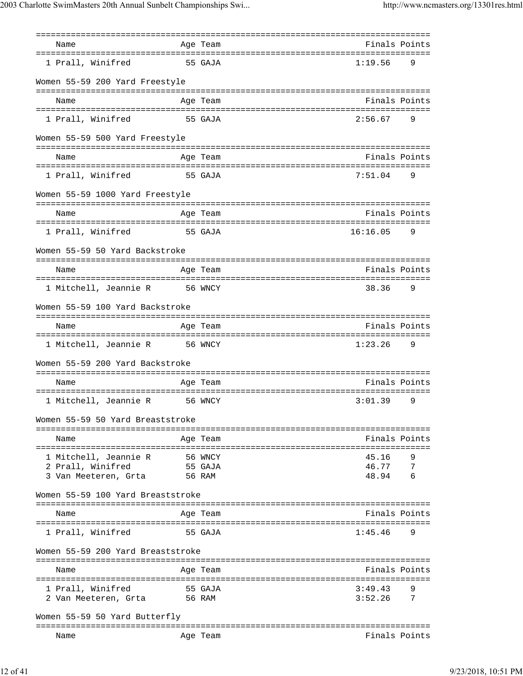| Name                              |         | Age Team                        | Finals Points                                  |   |
|-----------------------------------|---------|---------------------------------|------------------------------------------------|---|
|                                   |         |                                 |                                                |   |
| 1 Prall, Winifred                 | 55 GAJA |                                 | 1:19.56                                        | 9 |
| Women 55-59 200 Yard Freestyle    |         | =================               |                                                |   |
| Name                              |         | Age Team                        | Finals Points                                  |   |
| 1 Prall, Winifred                 |         | 55 GAJA                         | 2:56.67                                        | 9 |
| Women 55-59 500 Yard Freestyle    |         |                                 |                                                |   |
| Name                              |         | Age Team                        | Finals Points                                  |   |
| 1 Prall, Winifred                 |         | 55 GAJA                         | 7:51.04                                        | 9 |
| Women 55-59 1000 Yard Freestyle   |         |                                 |                                                |   |
| Name                              |         | Age Team                        | Finals Points                                  |   |
| 1 Prall, Winifred                 |         | 55 GAJA                         | 16:16.05                                       | 9 |
| Women 55-59 50 Yard Backstroke    |         |                                 |                                                |   |
|                                   |         |                                 | Finals Points                                  |   |
| Name                              |         | Age Team                        |                                                |   |
| 1 Mitchell, Jeannie R             | 56 WNCY |                                 | 38.36                                          | 9 |
| Women 55-59 100 Yard Backstroke   |         |                                 |                                                |   |
| Name                              |         | ===================<br>Age Team | Finals Points                                  |   |
| 1 Mitchell, Jeannie R             | 56 WNCY |                                 | .==================================<br>1:23.26 | 9 |
| Women 55-59 200 Yard Backstroke   |         |                                 |                                                |   |
|                                   |         |                                 |                                                |   |
| Name                              |         | Age Team                        | Finals Points                                  |   |
| 1 Mitchell, Jeannie R             |         | 56 WNCY                         | 3:01.39                                        | 9 |
| Women 55-59 50 Yard Breaststroke  |         |                                 |                                                |   |
| Name                              |         | Age Team                        | Finals Points                                  |   |
| 1 Mitchell, Jeannie R             |         | 56 WNCY                         | 45.16                                          | 9 |
| 2 Prall, Winifred                 |         | 55 GAJA                         | 46.77<br>$\overline{7}$                        |   |
| 3 Van Meeteren, Grta              |         | 56 RAM                          | 48.94<br>- 6                                   |   |
| Women 55-59 100 Yard Breaststroke |         |                                 |                                                |   |
| Name                              |         | Age Team                        | Finals Points                                  |   |
| 1 Prall, Winifred                 |         | 55 GAJA                         | 1:45.46                                        | 9 |
| Women 55-59 200 Yard Breaststroke |         |                                 |                                                |   |
| Name                              |         | Age Team                        | Finals Points                                  |   |
| 1 Prall, Winifred                 |         | 55 GAJA                         | 3:49.43                                        | 9 |
| 2 Van Meeteren, Grta 56 RAM       |         |                                 | 3:52.26<br>$\overline{7}$                      |   |
| Women 55-59 50 Yard Butterfly     |         |                                 |                                                |   |
| Name                              |         | Age Team                        | Finals Points                                  |   |
|                                   |         |                                 |                                                |   |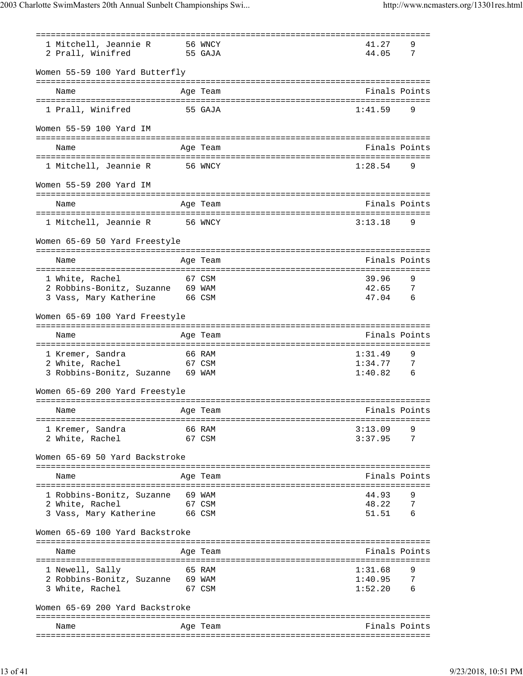| 1 Mitchell, Jeannie R                                   | 56 WNCY                  | 41.27         | 9               |
|---------------------------------------------------------|--------------------------|---------------|-----------------|
| 2 Prall, Winifred                                       | 55 GAJA                  | 44.05         | 7               |
|                                                         |                          |               |                 |
| Women 55-59 100 Yard Butterfly                          |                          |               |                 |
|                                                         |                          |               |                 |
| Name                                                    | Age Team                 | Finals Points |                 |
|                                                         |                          |               |                 |
| 1 Prall, Winifred 55 GAJA                               |                          | 1:41.59       | 9               |
|                                                         |                          |               |                 |
| Women 55-59 100 Yard IM                                 |                          |               |                 |
|                                                         |                          |               |                 |
| Name                                                    | Age Team                 | Finals Points |                 |
|                                                         |                          |               |                 |
| 1 Mitchell, Jeannie R 56 WNCY                           |                          | 1:28.54       | 9               |
|                                                         |                          |               |                 |
| Women 55-59 200 Yard IM                                 |                          |               |                 |
|                                                         |                          |               |                 |
| Name                                                    | Age Team                 | Finals Points |                 |
|                                                         |                          |               |                 |
| 1 Mitchell, Jeannie R 56 WNCY                           |                          | 3:13.18       | 9               |
|                                                         |                          |               |                 |
| Women 65-69 50 Yard Freestyle                           |                          |               |                 |
|                                                         |                          |               |                 |
| Name                                                    | Age Team                 | Finals Points |                 |
|                                                         |                          |               |                 |
| 1 White, Rachel                                         | 67 CSM                   | 39.96         | 9               |
| 2 Robbins-Bonitz, Suzanne 69 WAM                        |                          | 42.65 7       |                 |
| 3 Vass, Mary Katherine 66 CSM                           |                          | 47.04         | 6               |
|                                                         |                          |               |                 |
| Women 65-69 100 Yard Freestyle                          |                          |               |                 |
|                                                         |                          |               |                 |
| Name                                                    | Age Team                 | Finals Points |                 |
|                                                         |                          |               |                 |
| 66 RAM<br>1 Kremer, Sandra                              |                          | 1:31.49       | 9               |
| 67 CSM<br>2 White, Rachel                               |                          | 1:34.77       | 7               |
| 3 Robbins-Bonitz, Suzanne 69 WAM                        |                          | 1:40.82       | $6\overline{6}$ |
|                                                         |                          |               |                 |
| Women 65-69 200 Yard Freestyle                          |                          |               |                 |
|                                                         |                          |               |                 |
| Name<br>Age Team                                        | Example 31 Finals Points |               |                 |
|                                                         |                          |               |                 |
| 1 Kremer, Sandra                                        | 66 RAM                   | 3:13.09       |                 |
| 2 White, Rachel<br>67 CSM                               |                          | 3:37.95 7     |                 |
|                                                         |                          |               |                 |
| Women 65-69 50 Yard Backstroke                          |                          |               |                 |
|                                                         |                          |               |                 |
| Name                                                    | Age Team                 | Finals Points |                 |
|                                                         |                          |               |                 |
| 1 Robbins-Bonitz, Suzanne 69 WAM                        |                          | 44.93         |                 |
| 2 White, Rachel 67 CSM<br>3 Vass, Mary Katherine 66 CSM |                          | 48.22         | $\overline{7}$  |
|                                                         |                          | $51.51$ 6     |                 |
|                                                         |                          |               |                 |
| Women 65-69 100 Yard Backstroke                         |                          |               |                 |
|                                                         |                          |               |                 |
| Name                                                    | Age Team                 | Finals Points |                 |
|                                                         |                          |               |                 |
| 65 RAM<br>1 Newell, Sally                               |                          | 1:31.68       | 9               |
| 2 Robbins-Bonitz, Suzanne 69 WAM                        |                          | $1:40.95$ 7   |                 |
| 3 White, Rachel 67 CSM                                  |                          | $1:52.20$ 6   |                 |
|                                                         |                          |               |                 |
| Women 65-69 200 Yard Backstroke                         |                          |               |                 |
|                                                         |                          |               |                 |
| Name                                                    | Age Team                 | Finals Points |                 |
|                                                         |                          |               |                 |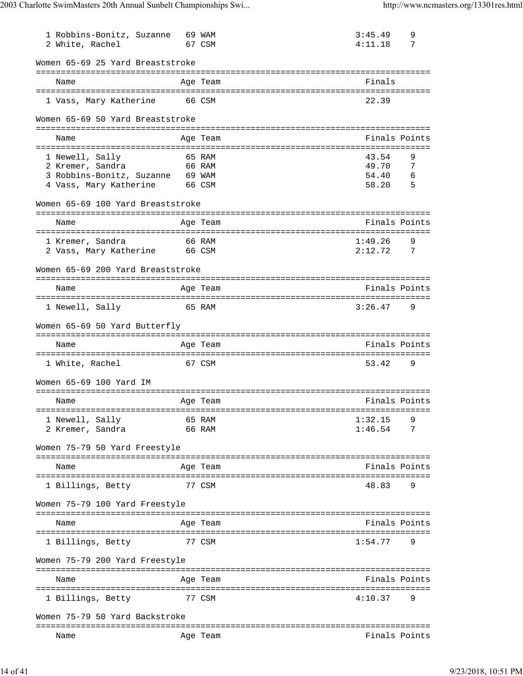| 1 Robbins-Bonitz, Suzanne<br>2 White, Rachel                    | 69 WAM | 67 CSM                                                  | 3:45.49<br>4:11.18 | 9<br>7        |
|-----------------------------------------------------------------|--------|---------------------------------------------------------|--------------------|---------------|
| Women 65-69 25 Yard Breaststroke                                |        |                                                         |                    |               |
| Name                                                            |        | -------------------------<br>Age Team                   | Finals             |               |
| 1 Vass, Mary Katherine                                          |        | 66 CSM                                                  | 22.39              |               |
| Women 65-69 50 Yard Breaststroke                                |        |                                                         |                    |               |
| Name                                                            |        | Age Team                                                |                    | Finals Points |
|                                                                 |        |                                                         |                    |               |
| 1 Newell, Sally<br>2 Kremer, Sandra                             |        | 65 RAM<br>66 RAM                                        | 43.54<br>49.70     | 9<br>7        |
| 3 Robbins-Bonitz, Suzanne 69 WAM                                |        |                                                         | 54.40              | 6             |
| 4 Vass, Mary Katherine                                          | 66 CSM |                                                         | 58.20              | 5             |
| Women 65-69 100 Yard Breaststroke                               |        |                                                         |                    |               |
| Name                                                            |        | Age Team                                                |                    | Finals Points |
|                                                                 |        |                                                         |                    |               |
| 1 Kremer, Sandra<br>2 Vass, Mary Katherine                      | 66 CSM | 66 RAM                                                  | 1:49.26<br>2:12.72 | 9<br>7        |
| Women 65-69 200 Yard Breaststroke                               |        |                                                         |                    |               |
| Name                                                            |        | Age Team                                                |                    | Finals Points |
| 1 Newell, Sally                                                 |        | 65 RAM                                                  | 3:26.47            | 9             |
| Women 65-69 50 Yard Butterfly                                   |        |                                                         |                    |               |
| ========================                                        |        | ===============================<br>:=================== |                    |               |
| Name                                                            |        | Age Team<br>:============                               |                    | Finals Points |
| 1 White, Rachel                                                 |        | 67 CSM                                                  | 53.42              | 9             |
| Women 65-69 100 Yard IM                                         |        |                                                         |                    |               |
| Name                                                            |        | Age Team                                                |                    | Finals Points |
|                                                                 |        |                                                         |                    |               |
| 1 Newell, Sally<br>66 RAM                                       |        | 65 RAM                                                  | 1:32.15<br>1:46.54 | 9<br>7        |
| 2 Kremer, Sandra                                                |        |                                                         |                    |               |
| Women 75-79 50 Yard Freestyle                                   |        |                                                         |                    |               |
| Name                                                            |        | Age Team                                                |                    | Finals Points |
|                                                                 |        |                                                         |                    |               |
| 1 Billings, Betty                                               |        | 77 CSM                                                  | 48.83              | 9             |
| Women 75-79 100 Yard Freestyle<br>============================= |        | ========<br>------------------------------------        |                    |               |
| Name                                                            |        | Age Team                                                |                    | Finals Points |
| 1 Billings, Betty                                               |        | 77 CSM                                                  | 1:54.77            | 9             |
| Women 75-79 200 Yard Freestyle                                  |        |                                                         |                    |               |
| Name                                                            |        | Age Team                                                |                    | Finals Points |
|                                                                 |        |                                                         |                    |               |
| 1 Billings, Betty                                               |        | 77 CSM                                                  | 4:10.37            | 9             |
| Women 75-79 50 Yard Backstroke                                  |        |                                                         |                    |               |
| Name                                                            |        | Age Team                                                |                    | Finals Points |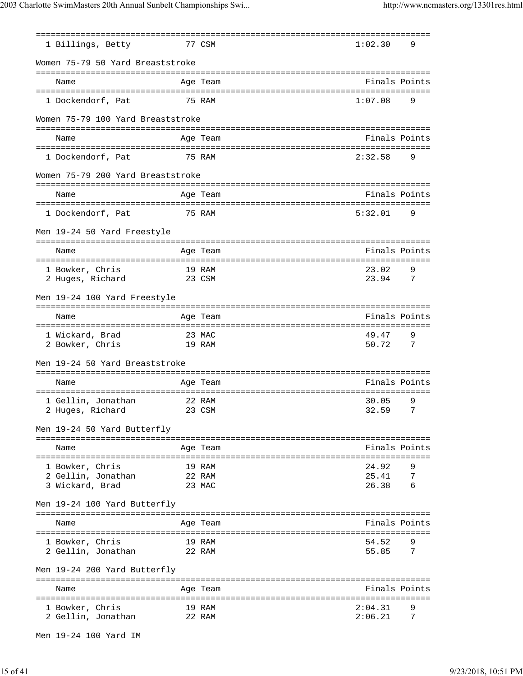| 1 Billings, Betty                            |        | 77 CSM           | 1:02.30            | 9                   |
|----------------------------------------------|--------|------------------|--------------------|---------------------|
| Women 75-79 50 Yard Breaststroke             |        |                  |                    |                     |
| Name                                         |        | Age Team         | Finals Points      |                     |
| 1 Dockendorf, Pat                            |        | 75 RAM           | 1:07.08            | 9                   |
| Women 75-79 100 Yard Breaststroke            |        |                  |                    |                     |
| Name                                         |        | Age Team         | Finals Points      |                     |
| 1 Dockendorf, Pat                            |        | 75 RAM           | 2:32.58            | 9                   |
| Women 75-79 200 Yard Breaststroke            |        |                  |                    |                     |
| Name                                         |        | Age Team         | Finals Points      |                     |
| 1 Dockendorf, Pat                            | 75 RAM |                  | 5:32.01            | 9                   |
| Men 19-24 50 Yard Freestyle                  |        |                  |                    |                     |
| Name                                         |        | Age Team         | Finals Points      |                     |
| 1 Bowker, Chris                              |        | 19 RAM           | 23.02              | 9                   |
| 2 Huges, Richard                             |        | 23 CSM           | 23.94              | $\overline{7}$      |
| Men 19-24 100 Yard Freestyle                 |        |                  |                    |                     |
| Name                                         |        | Age Team         | Finals Points      |                     |
| 1 Wickard, Brad<br>2 Bowker, Chris<br>19 RAM |        | 23 MAC           | 49.47<br>50.72     | 9<br>$\overline{7}$ |
| Men 19-24 50 Yard Breaststroke               |        |                  |                    |                     |
| Name                                         |        | Age Team         | Finals Points      |                     |
| 1 Gellin, Jonathan                           |        | 22 RAM           | 30.05              | 9                   |
| 23 CSM<br>2 Huges, Richard                   |        |                  | 32.59              | 7                   |
| Men 19-24 50 Yard Butterfly                  |        |                  |                    |                     |
| Name                                         |        | Age Team         | Finals Points      |                     |
| 1 Bowker, Chris                              |        | 19 RAM           | 24.92              | 9                   |
| 2 Gellin, Jonathan<br>3 Wickard, Brad        | 22 RAM | 23 MAC           | 25.41<br>26.38     | 7<br>6              |
| Men 19-24 100 Yard Butterfly                 |        |                  |                    |                     |
|                                              |        |                  |                    |                     |
| Name                                         |        | Age Team         | Finals Points      |                     |
| 1 Bowker, Chris<br>2 Gellin, Jonathan        |        | 19 RAM<br>22 RAM | 54.52<br>55.85     | 7                   |
| Men 19-24 200 Yard Butterfly                 |        |                  |                    |                     |
|                                              |        |                  |                    |                     |
| Name                                         |        | Age Team         | Finals Points      |                     |
| 1 Bowker, Chris<br>2 Gellin, Jonathan        |        | 19 RAM<br>22 RAM | 2:04.31<br>2:06.21 | 9<br>7              |

Men 19-24 100 Yard IM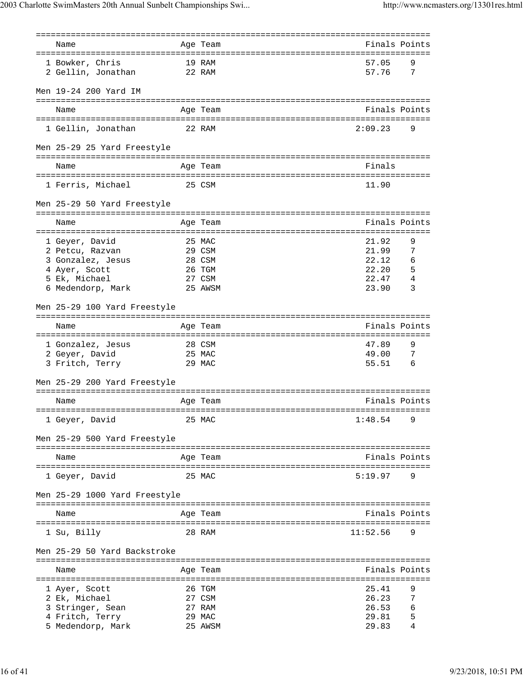| Name                           |        | Age Team         |                | Finals Points |
|--------------------------------|--------|------------------|----------------|---------------|
|                                |        |                  |                |               |
| 1 Bowker, Chris                | 19 RAM |                  | 57.05          | 9             |
| 2 Gellin, Jonathan             | 22 RAM |                  | 57.76          | 7             |
|                                |        |                  |                |               |
| Men 19-24 200 Yard IM          |        |                  |                |               |
|                                |        |                  |                |               |
| Name                           |        | Age Team         |                | Finals Points |
|                                |        |                  | 2:09.23        | 9             |
| 1 Gellin, Jonathan             | 22 RAM |                  |                |               |
| Men 25-29 25 Yard Freestyle    |        |                  |                |               |
|                                |        |                  |                |               |
| Name                           |        | Age Team         | Finals         |               |
|                                |        |                  |                |               |
| 1 Ferris, Michael<br>25 CSM    |        |                  | 11.90          |               |
|                                |        |                  |                |               |
| Men 25-29 50 Yard Freestyle    |        |                  |                |               |
|                                |        |                  |                |               |
| Name                           |        | Age Team         |                | Finals Points |
|                                |        |                  |                |               |
| 1 Geyer, David                 |        | 25 MAC           | 21.92          | 9             |
| 2 Petcu, Razvan                |        | 29 CSM           | 21.99          | 7             |
| 3 Gonzalez, Jesus              |        | 28 CSM           | 22.12          | 6             |
| 4 Ayer, Scott<br>5 Ek, Michael |        | 26 TGM<br>27 CSM | 22.20<br>22.47 | 5<br>4        |
| 6 Medendorp, Mark              |        | 25 AWSM          | 23.90          | 3             |
|                                |        |                  |                |               |
| Men 25-29 100 Yard Freestyle   |        |                  |                |               |
|                                |        |                  |                |               |
| Name                           |        | Age Team         |                | Finals Points |
|                                |        |                  |                |               |
| 1 Gonzalez, Jesus              |        | 28 CSM           | 47.89          | 9             |
| 2 Geyer, David                 | 25 MAC |                  | 49.00          | 7             |
| 3 Fritch, Terry                |        | 29 MAC           | 55.51          | 6             |
| Men 25-29 200 Yard Freestyle   |        |                  |                |               |
|                                |        |                  |                |               |
| Name                           |        | Age Team         |                | Finals Points |
|                                |        |                  |                |               |
| 1 Geyer, David                 |        | 25 MAC           | 1:48.54        | 9             |
|                                |        |                  |                |               |
| Men 25-29 500 Yard Freestyle   |        |                  |                |               |
| ===================            |        | ========         |                |               |
| Name                           |        | Age Team         |                | Finals Points |
|                                |        |                  |                |               |
| 1 Geyer, David                 |        | 25 MAC           | 5:19.97        | 9             |
| Men 25-29 1000 Yard Freestyle  |        |                  |                |               |
|                                |        |                  |                |               |
| Name                           |        | Age Team         |                | Finals Points |
|                                |        |                  |                |               |
| 1 Su, Billy                    |        | 28 RAM           | 11:52.56       | 9             |
|                                |        |                  |                |               |
| Men 25-29 50 Yard Backstroke   |        |                  |                |               |
|                                |        |                  |                |               |
| Name                           |        | Aqe Team         |                | Finals Points |
| 1 Ayer, Scott                  |        | 26 TGM           | 25.41          | 9             |
| 2 Ek, Michael                  |        | 27 CSM           | 26.23          | 7             |
| 3 Stringer, Sean               |        | 27 RAM           | 26.53          | 6             |
|                                |        |                  |                |               |
| 4 Fritch, Terry                |        | 29 MAC           | 29.81          | 5             |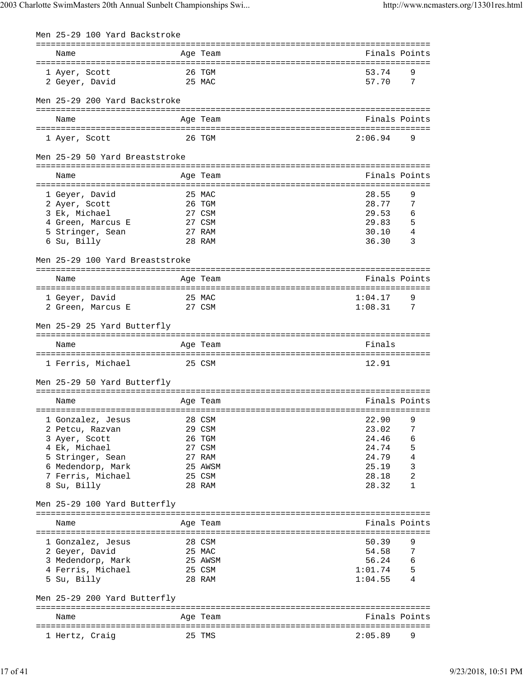| Men 25-29 100 Yard Backstroke    |        |                  |                |        |
|----------------------------------|--------|------------------|----------------|--------|
| Name                             |        | Age Team         | Finals Points  |        |
| 1 Ayer, Scott                    | 26 TGM |                  | 53.74          | 9      |
| 2 Geyer, David                   |        | 25 MAC           | 57.70          | 7      |
| Men 25-29 200 Yard Backstroke    |        |                  |                |        |
| Name                             |        | Age Team         | Finals Points  |        |
| 1 Ayer, Scott                    |        | 26 TGM           | 2:06.94        | 9      |
| Men 25-29 50 Yard Breaststroke   |        |                  |                |        |
| Name                             |        | Age Team         | Finals Points  |        |
| 1 Geyer, David                   |        | 25 MAC           | 28.55          | 9      |
| 2 Ayer, Scott                    |        | 26 TGM           | 28.77          | 7      |
| 3 Ek, Michael                    |        | 27 CSM           | 29.53          | 6      |
| 4 Green, Marcus E                |        | 27 CSM           | 29.83          | 5      |
| 5 Stringer, Sean                 |        | 27 RAM           | 30.10          | 4      |
| 6 Su, Billy                      |        | 28 RAM           | 36.30          | 3      |
| Men 25-29 100 Yard Breaststroke  |        |                  |                |        |
| Name                             |        | Age Team         | Finals Points  |        |
| 1 Geyer, David                   | 25 MAC |                  | 1:04.17        | 9      |
| 2 Green, Marcus E                |        | 27 CSM           | 1:08.31        | - 7    |
| Men 25-29 25 Yard Butterfly      |        |                  |                |        |
| Name                             |        | Age Team         | Finals         |        |
| 1 Ferris, Michael                | 25 CSM |                  | 12.91          |        |
| Men 25-29 50 Yard Butterfly      |        |                  |                |        |
|                                  |        |                  |                |        |
| Name                             |        | Age Team         | Finals Points  |        |
| 1 Gonzalez, Jesus                |        | 28 CSM           | 22.90          | 9      |
| 2 Petcu, Razvan                  |        | 29 CSM           | 23.02          | 7      |
| 3 Ayer, Scott                    |        | 26 TGM           | 24.46          | 6      |
| 4 Ek, Michael                    |        | 27 CSM           | 24.74          | 5      |
| 5 Stringer, Sean                 |        | 27 RAM           | 24.79          | 4      |
| 6 Medendorp, Mark                |        | 25 AWSM          | 25.19          | 3      |
| 7 Ferris, Michael<br>8 Su, Billy |        | 25 CSM<br>28 RAM | 28.18<br>28.32 | 2<br>1 |
| Men 25-29 100 Yard Butterfly     |        |                  |                |        |
|                                  |        |                  |                |        |
| Name                             |        | Age Team         | Finals Points  |        |
| 1 Gonzalez, Jesus                |        | 28 CSM           | 50.39          | 9      |
| 2 Geyer, David                   |        | 25 MAC           | 54.58          | 7      |
| 3 Medendorp, Mark                |        | 25 AWSM          | 56.24          | 6      |
| 4 Ferris, Michael                |        | 25 CSM           | 1:01.74        | 5      |
| 5 Su, Billy                      |        | 28 RAM           | 1:04.55        | 4      |
| Men 25-29 200 Yard Butterfly     |        |                  |                |        |
| Name                             |        | Age Team         | Finals Points  |        |
| 1 Hertz, Craig                   |        | 25 TMS           | 2:05.89        | 9      |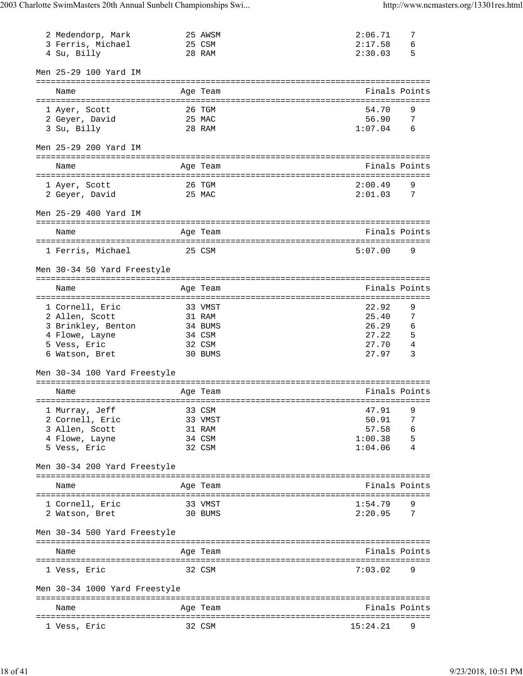| 2 Medendorp, Mark<br>3 Ferris, Michael<br>4 Su, Billy |                  | 25 AWSM<br>25 CSM<br>28 RAM                   | 2:06.71<br>2:17.58<br>2:30.03 | 7<br>6<br>5                |
|-------------------------------------------------------|------------------|-----------------------------------------------|-------------------------------|----------------------------|
| Men 25-29 100 Yard IM                                 |                  |                                               |                               |                            |
| Name                                                  |                  | :================================<br>Age Team | Finals Points                 |                            |
| 1 Ayer, Scott<br>2 Geyer, David<br>3 Su, Billy        | 26 TGM<br>25 MAC | 28 RAM                                        | 54.70<br>56.90<br>1:07.04     | 9<br>-7<br>$6\overline{6}$ |
| Men 25-29 200 Yard IM                                 |                  |                                               |                               |                            |
| Name                                                  |                  | Age Team                                      | Finals Points                 |                            |
| 1 Ayer, Scott<br>2 Geyer, David                       |                  | 26 TGM<br>25 MAC                              | 2:00.49<br>2:01.03            | 9<br>$\overline{7}$        |
| Men 25-29 400 Yard IM                                 |                  |                                               |                               |                            |
| Name                                                  |                  | Age Team                                      | Finals Points                 |                            |
| 1 Ferris, Michael<br>25 CSM                           |                  |                                               | 5:07.00                       | 9                          |
| Men 30-34 50 Yard Freestyle                           |                  |                                               |                               |                            |
| Name                                                  |                  | Age Team                                      | Finals Points                 |                            |
| 1 Cornell, Eric                                       |                  | 33 VMST                                       | 22.92                         | 9                          |
| 2 Allen, Scott                                        |                  | 31 RAM                                        | 25.40                         | 7                          |
| 3 Brinkley, Benton                                    |                  | 34 BUMS                                       | 26.29                         | 6                          |
| 4 Flowe, Layne                                        | 34 CSM           |                                               | 27.22                         | 5                          |
| 5 Vess, Eric                                          |                  | 32 CSM                                        | 27.70                         | 4                          |
| 6 Watson, Bret                                        |                  | 30 BUMS                                       | 27.97                         | 3                          |
| Men 30-34 100 Yard Freestyle                          |                  |                                               |                               |                            |
| Name                                                  |                  | Age Team                                      | Finals Points                 |                            |
|                                                       |                  |                                               |                               |                            |
| 1 Murray, Jeff                                        |                  | 33 CSM<br>33 VMST                             | 47.91<br>50.91                | 9<br>7                     |
| 2 Cornell, Eric<br>3 Allen, Scott                     |                  | 31 RAM                                        | 57.58                         | 6                          |
| 4 Flowe, Layne                                        |                  | 34 CSM                                        | 1:00.38                       | 5                          |
| 5 Vess, Eric                                          |                  | 32 CSM                                        | 1:04.06                       | 4                          |
| Men 30-34 200 Yard Freestyle                          |                  |                                               |                               |                            |
| Name                                                  |                  | Age Team                                      | Finals Points                 |                            |
|                                                       |                  |                                               |                               |                            |
| 1 Cornell, Eric<br>2 Watson, Bret                     |                  | 33 VMST<br>30 BUMS                            | 1:54.79<br>2:20.95            | 9<br>$\overline{7}$        |
| Men 30-34 500 Yard Freestyle                          |                  |                                               |                               |                            |
| Name                                                  |                  | Age Team                                      | Finals Points                 |                            |
| 1 Vess, Eric                                          |                  | 32 CSM                                        | 7:03.02                       | 9                          |
| Men 30-34 1000 Yard Freestyle                         |                  |                                               |                               |                            |
|                                                       |                  |                                               |                               |                            |
| Name                                                  |                  | Age Team                                      | Finals Points                 |                            |
| 1 Vess, Eric                                          |                  | 32 CSM                                        | 15:24.21                      | 9                          |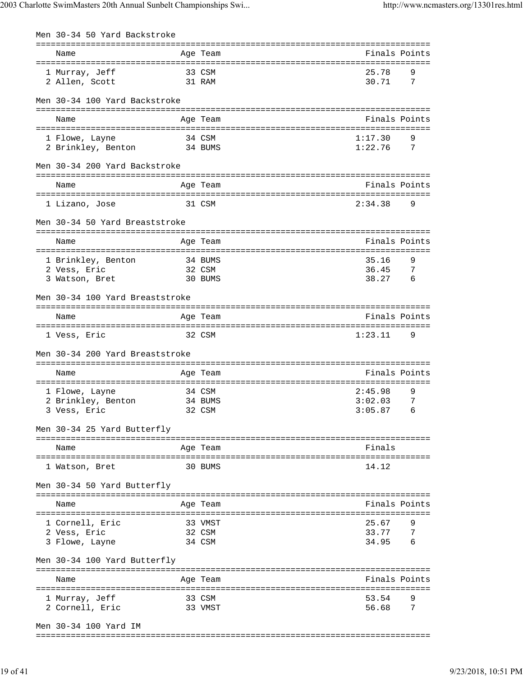| Men 30-34 50 Yard Backstroke    |          |             |                |
|---------------------------------|----------|-------------|----------------|
| Name                            | Age Team |             | Finals Points  |
| 33 CSM<br>1 Murray, Jeff        |          | 25.78       | 9              |
| 31 RAM<br>2 Allen, Scott        |          | 30.71       | $\overline{7}$ |
| Men 30-34 100 Yard Backstroke   |          |             |                |
| Name                            | Age Team |             | Finals Points  |
|                                 |          |             |                |
| 1 Flowe, Layne                  | 34 CSM   | 1:17.30     | 9              |
| 2 Brinkley, Benton 34 BUMS      |          | 1:22.76     | 7              |
| Men 30-34 200 Yard Backstroke   |          |             |                |
| Name                            | Age Team |             | Finals Points  |
| 1 Lizano, Jose                  | 31 CSM   | 2:34.38     | 9              |
| Men 30-34 50 Yard Breaststroke  |          |             |                |
| Name                            | Age Team |             | Finals Points  |
|                                 |          |             |                |
| 1 Brinkley, Benton<br>34 BUMS   |          | 35.16       | 9              |
| 2 Vess, Eric                    | 32 CSM   | 36.45       | 7              |
| 3 Watson, Bret                  | 30 BUMS  | 38.27 6     |                |
| Men 30-34 100 Yard Breaststroke |          |             |                |
| Name                            | Age Team |             | Finals Points  |
|                                 |          |             |                |
| 1 Vess, Eric                    | 32 CSM   | 1:23.11     | 9              |
| Men 30-34 200 Yard Breaststroke |          |             |                |
| Name                            | Age Team |             | Finals Points  |
|                                 |          |             |                |
| 1 Flowe, Layne                  | 34 CSM   | 2:45.98     | 9              |
| 2 Brinkley, Benton              | 34 BUMS  | 3:02.03     | 7              |
| 3 Vess, Eric                    | 32 CSM   | $3:05.87$ 6 |                |
| Men 30-34 25 Yard Butterfly     |          |             |                |
| Name                            | Age Team | Finals      |                |
|                                 |          |             |                |
| 1 Watson, Bret                  | 30 BUMS  | 14.12       |                |
| Men 30-34 50 Yard Butterfly     |          |             |                |
| Name                            |          |             | Finals Points  |
|                                 | Age Team |             |                |
| 1 Cornell, Eric                 | 33 VMST  | 25.67       | 9              |
| 2 Vess, Eric                    | 32 CSM   | 33.77 7     |                |
| 3 Flowe, Layne                  | 34 CSM   | 34.95 6     |                |
| Men 30-34 100 Yard Butterfly    |          |             |                |
|                                 |          |             |                |
| Name                            | Age Team |             | Finals Points  |
| 1 Murray, Jeff                  | 33 CSM   | 53.54       | 9              |
| 2 Cornell, Eric                 | 33 VMST  | 56.68       | $\overline{7}$ |
| Men 30-34 100 Yard IM           |          |             |                |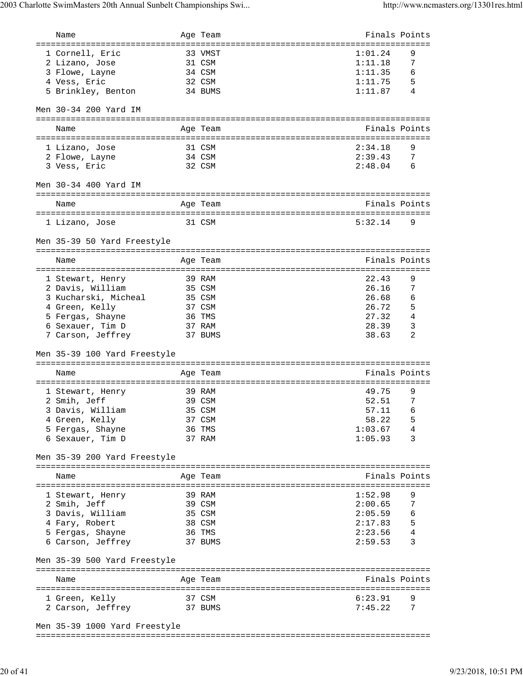| Name                                |        | Age Team |                                    | Finals Points  |
|-------------------------------------|--------|----------|------------------------------------|----------------|
| =================================== |        |          | ================================== |                |
| 1 Cornell, Eric                     |        | 33 VMST  | 1:01.24                            | 9              |
| 2 Lizano, Jose                      | 31 CSM |          | 1:11.18                            | 7              |
| 3 Flowe, Layne                      |        | 34 CSM   | 1:11.35                            | 6              |
| 4 Vess, Eric                        |        | 32 CSM   | 1:11.75                            | -5             |
| 5 Brinkley, Benton                  |        | 34 BUMS  | 1:11.87                            | 4              |
|                                     |        |          |                                    |                |
| Men 30-34 200 Yard IM               |        |          |                                    |                |
|                                     |        |          |                                    |                |
| Name                                |        | Age Team |                                    | Finals Points  |
|                                     |        |          |                                    |                |
| 1 Lizano, Jose                      |        | 31 CSM   | 2:34.18                            | 9              |
| 2 Flowe, Layne                      |        | 34 CSM   | 2:39.43                            | - 7            |
| 3 Vess, Eric                        |        | 32 CSM   | 2:48.04                            | - 6            |
|                                     |        |          |                                    |                |
|                                     |        |          |                                    |                |
| Men 30-34 400 Yard IM               |        |          |                                    |                |
|                                     |        |          |                                    |                |
| Name                                |        | Age Team |                                    | Finals Points  |
|                                     |        |          |                                    |                |
| 31 CSM<br>1 Lizano, Jose            |        |          | 5:32.14                            | 9              |
|                                     |        |          |                                    |                |
| Men 35-39 50 Yard Freestyle         |        |          |                                    |                |
|                                     |        |          |                                    |                |
| Name                                |        | Age Team |                                    | Finals Points  |
|                                     |        |          |                                    |                |
| 1 Stewart, Henry                    |        | 39 RAM   | 22.43                              | 9              |
| 2 Davis, William                    | 35 CSM |          | 26.16                              | 7              |
| 3 Kucharski, Micheal                |        | 35 CSM   | 26.68                              | 6              |
| 4 Green, Kelly                      |        | 37 CSM   | 26.72                              | 5              |
| 5 Fergas, Shayne                    |        | 36 TMS   | 27.32                              | $\overline{4}$ |
| 6 Sexauer, Tim D                    |        | 37 RAM   | 28.39                              | $\overline{3}$ |
| 7 Carson, Jeffrey                   |        | 37 BUMS  | 38.63                              | 2              |
|                                     |        |          |                                    |                |
| Men 35-39 100 Yard Freestyle        |        |          |                                    |                |
|                                     |        |          |                                    |                |
| Name                                |        | Age Team |                                    | Finals Points  |
|                                     |        |          |                                    |                |
| 1 Stewart, Henry                    |        | 39 RAM   | 49.75                              | 9              |
| 2 Smih, Jeff                        |        | 39 CSM   | 52.51                              | 7              |
| 3 Davis, William                    |        | 35 CSM   | 57.11                              | 6              |
| 4 Green, Kelly                      |        | 37 CSM   | 58.22                              | 5              |
| 5 Fergas, Shayne                    |        | 36 TMS   | 1:03.67                            | 4              |
| 6 Sexauer, Tim D                    |        | 37 RAM   | 1:05.93                            | 3              |
|                                     |        |          |                                    |                |
| Men 35-39 200 Yard Freestyle        |        |          |                                    |                |
|                                     |        |          |                                    |                |
| Name                                |        | Age Team |                                    | Finals Points  |
|                                     |        |          |                                    |                |
|                                     |        | 39 RAM   | 1:52.98                            | 9              |
| 1 Stewart, Henry<br>2 Smih, Jeff    |        | 39 CSM   | 2:00.65                            | $\overline{7}$ |
| 3 Davis, William                    |        |          | $2:05.59$ 6                        |                |
|                                     |        | 35 CSM   |                                    |                |
| 4 Fary, Robert                      |        | 38 CSM   | 2:17.83                            | - 5            |
| 5 Fergas, Shayne                    |        | 36 TMS   | 2:23.56                            | - 4            |
| 6 Carson, Jeffrey                   |        | 37 BUMS  | 2:59.53                            | 3              |
|                                     |        |          |                                    |                |
| Men 35-39 500 Yard Freestyle        |        |          |                                    |                |
|                                     |        |          |                                    |                |
| Name                                |        | Age Team |                                    | Finals Points  |
|                                     |        |          |                                    |                |
| 1 Green, Kelly                      | 37 CSM |          | 6:23.91                            |                |
| 2 Carson, Jeffrey                   |        | 37 BUMS  | 7:45.22                            | 7              |
|                                     |        |          |                                    |                |
| Men 35-39 1000 Yard Freestyle       |        |          |                                    |                |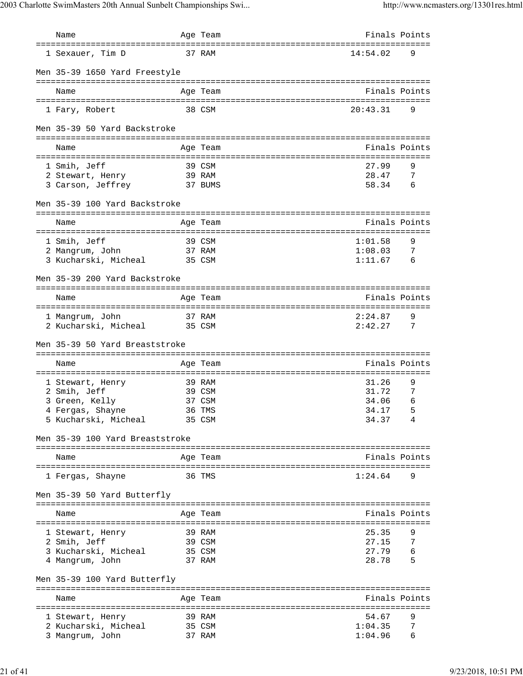| Name                                     | Age Team                            | Finals Points  |                 |
|------------------------------------------|-------------------------------------|----------------|-----------------|
| 1 Sexauer, Tim D                         | 37 RAM                              | 14:54.02       | 9               |
| Men 35-39 1650 Yard Freestyle            |                                     |                |                 |
| Name                                     | Age Team                            | Finals Points  |                 |
| 1 Fary, Robert                           | 38 CSM                              | 20:43.31       | 9               |
| Men 35-39 50 Yard Backstroke             |                                     |                |                 |
| Name                                     | Age Team                            | Finals Points  |                 |
|                                          |                                     |                |                 |
| 1 Smih, Jeff                             | 39 CSM                              | 27.99          | 9               |
| 2 Stewart, Henry                         | 39 RAM                              | 28.47          | 7               |
| 3 Carson, Jeffrey                        | 37 BUMS                             | 58.34          | 6               |
| Men 35-39 100 Yard Backstroke            |                                     |                |                 |
| Name                                     | Age Team                            | Finals Points  |                 |
|                                          | =================================== |                |                 |
| 1 Smih, Jeff                             | 39 CSM                              | 1:01.58        | 9               |
| 2 Mangrum, John                          | 37 RAM                              | 1:08.03        | $7\phantom{.0}$ |
| 3 Kucharski, Micheal 35 CSM              |                                     | 1:11.67        | - 6             |
| Men 35-39 200 Yard Backstroke            |                                     |                |                 |
|                                          |                                     |                |                 |
| Name                                     | Age Team                            | Finals Points  |                 |
| 1 Mangrum, John                          | 37 RAM                              | 2:24.87        | 9               |
| 2 Kucharski, Micheal 35 CSM              |                                     | 2:42.27        | 7               |
|                                          |                                     |                |                 |
| Men 35-39 50 Yard Breaststroke           |                                     |                |                 |
| Name                                     |                                     | Finals Points  |                 |
|                                          | Age Team                            |                |                 |
| 1 Stewart, Henry                         | 39 RAM                              | 31.26          | 9               |
| 2 Smih, Jeff                             | 39 CSM                              | 31.72          | 7               |
| 3 Green, Kelly                           | 37 CSM                              | 34.06          | 6               |
| 4 Fergas, Shayne                         | 36 TMS                              | 34.17          | $5^{\circ}$     |
| 5 Kucharski, Micheal                     | 35 CSM                              | 34.37          | 4               |
| Men 35-39 100 Yard Breaststroke          |                                     |                |                 |
| Name                                     | Age Team                            | Finals Points  |                 |
| 1 Fergas, Shayne                         | 36 TMS                              | 1:24.64        | 9               |
| Men 35-39 50 Yard Butterfly              |                                     |                |                 |
| Name                                     | Age Team                            | Finals Points  |                 |
|                                          |                                     |                |                 |
| 1 Stewart, Henry                         | 39 RAM                              | 25.35          | 9               |
| 2 Smih, Jeff                             | 39 CSM                              | 27.15          | 7               |
| 3 Kucharski, Micheal<br>4 Mangrum, John  | 35 CSM<br>37 RAM                    | 27.79<br>28.78 | 6<br>5          |
| Men 35-39 100 Yard Butterfly             |                                     |                |                 |
|                                          |                                     |                |                 |
| Name                                     | Age Team                            | Finals Points  |                 |
|                                          | 39 RAM                              | 54.67          | 9               |
| 1 Stewart, Henry<br>2 Kucharski, Micheal | 35 CSM                              | 1:04.35        | 7               |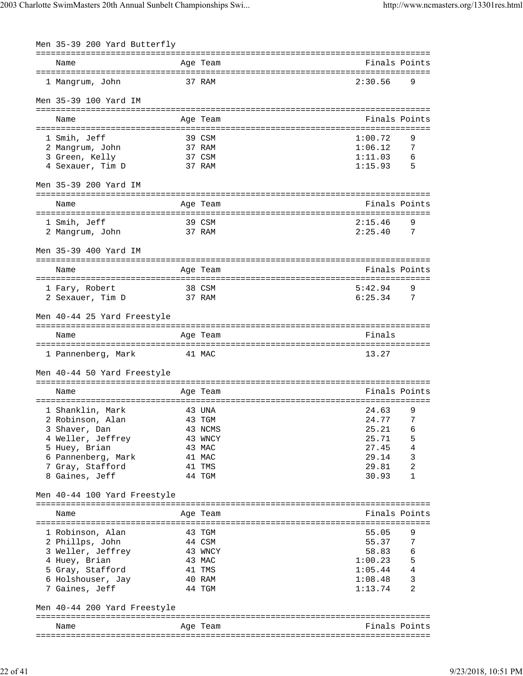| Men 35-39 200 Yard Butterfly        |        |                  |                    |                |
|-------------------------------------|--------|------------------|--------------------|----------------|
|                                     |        |                  |                    |                |
| Name                                |        | Age Team         |                    | Finals Points  |
| 1 Mangrum, John                     |        | 37 RAM           | 2:30.56            | 9              |
| Men 35-39 100 Yard IM               |        |                  |                    |                |
| Name                                |        | Age Team         |                    | Finals Points  |
|                                     |        |                  |                    |                |
| 1 Smih, Jeff                        |        | 39 CSM           | 1:00.72            | 9              |
| 2 Mangrum, John                     |        | 37 RAM           | 1:06.12            | 7              |
| 3 Green, Kelly                      |        | 37 CSM           | 1:11.03            | 6              |
| 4 Sexauer, Tim D                    |        | 37 RAM           | 1:15.93            | 5              |
| Men 35-39 200 Yard IM               |        |                  |                    |                |
| Name                                |        | Age Team         |                    | Finals Points  |
|                                     |        |                  |                    |                |
| 1 Smih, Jeff                        |        | 39 CSM           | 2:15.46            | 9              |
| 2 Mangrum, John                     |        | 37 RAM           | 2:25.40            | 7              |
| Men 35-39 400 Yard IM               |        |                  |                    |                |
|                                     |        |                  |                    | Finals Points  |
| Name                                |        | Age Team         |                    |                |
| 1 Fary, Robert                      | 38 CSM |                  | 5:42.94            | 9              |
| 2 Sexauer, Tim D<br>37 RAM          |        |                  | 6:25.34            | $\overline{7}$ |
|                                     |        |                  |                    |                |
| Men 40-44 25 Yard Freestyle         |        |                  |                    |                |
| Name                                |        | Age Team         | Finals             |                |
|                                     |        |                  |                    |                |
| 41 MAC<br>1 Pannenberg, Mark        |        |                  | 13.27              |                |
| Men 40-44 50 Yard Freestyle         |        |                  |                    |                |
| Name                                |        | Age Team         |                    | Finals Points  |
|                                     |        |                  |                    |                |
| 1 Shanklin, Mark                    |        | 43 UNA           | 24.63              | 9              |
| 2 Robinson, Alan                    |        | 43 TGM           | 24.77              | 7              |
| 3 Shaver, Dan                       |        | 43 NCMS          | 25.21              | 6              |
| 4 Weller, Jeffrey                   |        | 43 WNCY          | 25.71              | 5              |
| 5 Huey, Brian                       |        | 43 MAC           | 27.45              | 4              |
| 6 Pannenberg, Mark                  |        | 41 MAC           | 29.14              | 3              |
| 7 Gray, Stafford                    |        | 41 TMS           | 29.81              | 2              |
| 8 Gaines, Jeff                      |        | 44 TGM           | 30.93              | 1              |
| Men 40-44 100 Yard Freestyle        |        |                  |                    |                |
|                                     |        |                  |                    |                |
| Name                                |        | Age Team         |                    | Finals Points  |
|                                     |        |                  |                    |                |
| 1 Robinson, Alan                    |        | 43 TGM           | 55.05              | 9<br>7         |
| 2 Phillps, John                     |        | 44 CSM           | 55.37<br>58.83     |                |
| 3 Weller, Jeffrey                   |        | 43 WNCY          |                    | 6              |
| 4 Huey, Brian<br>5 Gray, Stafford   |        | 43 MAC<br>41 TMS | 1:00.23<br>1:05.44 | 5<br>4         |
|                                     |        | 40 RAM           | 1:08.48            | 3              |
| 6 Holshouser, Jay<br>7 Gaines, Jeff |        | 44 TGM           | 1:13.74            | 2              |
|                                     |        |                  |                    |                |
| Men 40-44 200 Yard Freestyle        |        |                  |                    |                |
| Name                                |        | Age Team         |                    | Finals Points  |
|                                     |        |                  |                    |                |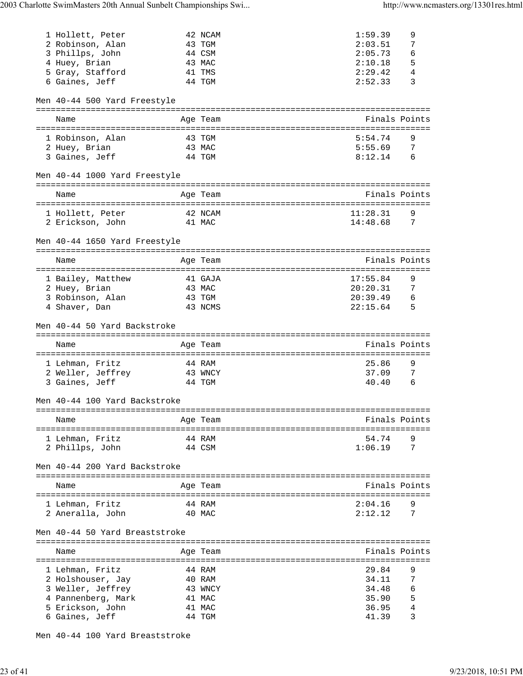| 1 Hollett, Peter                            |        | 42 NCAM           | 1:59.39     | 9              |
|---------------------------------------------|--------|-------------------|-------------|----------------|
| 2 Robinson, Alan                            |        | 43 TGM            | 2:03.51     | 7              |
| 3 Phillps, John                             |        | 44 CSM            | 2:05.73     | 6              |
| 4 Huey, Brian                               |        | 43 MAC            | 2:10.18     | 5              |
| 5 Gray, Stafford                            |        | 41 TMS            | 2:29.42     | 4              |
| 6 Gaines, Jeff                              |        | 44 TGM            | 2:52.33     | 3              |
|                                             |        |                   |             |                |
| Men 40-44 500 Yard Freestyle                |        |                   |             |                |
| Name                                        |        | Age Team          |             | Finals Points  |
|                                             |        |                   |             |                |
| 1 Robinson, Alan                            |        | 43 TGM            | 5:54.74     | 9              |
| 2 Huey, Brian                               | 43 MAC |                   | 5:55.69     | 7              |
| 3 Gaines, Jeff                              | 44 TGM |                   | $8:12.14$ 6 |                |
| Men 40-44 1000 Yard Freestyle               |        |                   |             |                |
|                                             |        |                   |             |                |
| Name                                        |        | Age Team          |             | Finals Points  |
|                                             |        |                   |             |                |
| 1 Hollett, Peter                            |        | 42 NCAM           | 11:28.31    | 9              |
| 2 Erickson, John<br>41 MAC                  |        |                   | 14:48.68    | $\overline{7}$ |
| Men 40-44 1650 Yard Freestyle               |        |                   |             |                |
|                                             |        |                   |             |                |
| Name                                        |        | Age Team          |             | Finals Points  |
|                                             |        |                   | 17:55.84    | 9              |
| 1 Bailey, Matthew                           |        | 41 GAJA<br>43 MAC | 20:20.31    | 7              |
| 2 Huey, Brian                               |        | 43 TGM            | 20:39.49    | 6              |
| 3 Robinson, Alan<br>4 Shaver, Dan           |        | 43 NCMS           | 22:15.64    | $5^{\circ}$    |
|                                             |        |                   |             |                |
|                                             |        |                   |             |                |
| Men 40-44 50 Yard Backstroke                |        |                   |             |                |
|                                             |        |                   |             |                |
| Name                                        |        | Age Team          |             | Finals Points  |
| 1 Lehman, Fritz                             |        | 44 RAM            | 25.86       | 9              |
|                                             |        |                   | 37.09       | 7              |
| 2 Weller, Jeffrey 43 WNCY<br>3 Gaines, Jeff | 44 TGM |                   | 40.40       | 6              |
|                                             |        |                   |             |                |
| Men 40-44 100 Yard Backstroke               |        |                   |             |                |
| Name                                        |        | Age Team          |             | Finals Points  |
|                                             |        |                   |             |                |
| 1 Lehman, Fritz                             |        | 44 RAM            | 54.74       | 9              |
| 2 Phillps, John                             |        | 44 CSM            | 1:06.19     | 7              |
| Men 40-44 200 Yard Backstroke               |        |                   |             |                |
|                                             |        |                   |             |                |
| Name                                        |        | Age Team          |             | Finals Points  |
|                                             |        |                   |             |                |
| 1 Lehman, Fritz                             |        | 44 RAM            | 2:04.16     | 9              |
| 2 Aneralla, John                            |        | 40 MAC            | 2:12.12     | 7              |
| Men 40-44 50 Yard Breaststroke              |        |                   |             |                |
|                                             |        |                   |             |                |
| Name                                        |        | Age Team          |             | Finals Points  |
|                                             |        | 44 RAM            | 29.84       | 9              |
| 1 Lehman, Fritz                             |        | 40 RAM            | 34.11       | 7              |
| 2 Holshouser, Jay                           |        | 43 WNCY           | 34.48       | 6              |
| 3 Weller, Jeffrey<br>4 Pannenberg, Mark     |        | 41 MAC            | 35.90       | 5              |
| 5 Erickson, John                            |        | 41 MAC            | 36.95       | 4              |

Men 40-44 100 Yard Breaststroke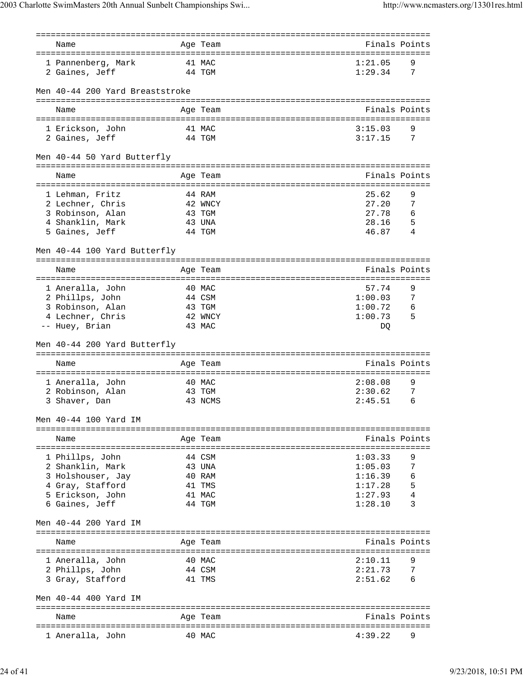| Name                                 |        | Age Team          |                                     |                | Finals Points |
|--------------------------------------|--------|-------------------|-------------------------------------|----------------|---------------|
|                                      |        |                   |                                     |                |               |
| 1 Pannenberg, Mark                   | 41 MAC |                   |                                     | 1:21.05        | 9             |
| 2 Gaines, Jeff                       | 44 TGM |                   |                                     | 1:29.34        | 7             |
|                                      |        |                   |                                     |                |               |
| Men 40-44 200 Yard Breaststroke      |        |                   |                                     |                |               |
|                                      |        |                   |                                     |                |               |
| Name                                 |        | Age Team          |                                     |                | Finals Points |
|                                      |        |                   |                                     |                |               |
| 1 Erickson, John                     |        | 41 MAC            |                                     | 3:15.03        | 9             |
| 2 Gaines, Jeff                       | 44 TGM |                   |                                     | 3:17.15        | 7             |
| Men 40-44 50 Yard Butterfly          |        |                   |                                     |                |               |
|                                      |        |                   | ============================        |                |               |
| Name                                 |        | Age Team          |                                     |                | Finals Points |
|                                      |        |                   | =================================== |                |               |
| 1 Lehman, Fritz                      |        | 44 RAM            |                                     | 25.62<br>27.20 | 9<br>7        |
| 2 Lechner, Chris<br>3 Robinson, Alan |        | 42 WNCY<br>43 TGM |                                     | 27.78          | 6             |
| 4 Shanklin, Mark                     |        | 43 UNA            |                                     | 28.16          | 5             |
| 5 Gaines, Jeff                       |        | 44 TGM            |                                     | 46.87          | 4             |
|                                      |        |                   |                                     |                |               |
| Men 40-44 100 Yard Butterfly         |        |                   |                                     |                |               |
|                                      |        |                   |                                     |                |               |
| Name                                 |        | Age Team          |                                     |                | Finals Points |
|                                      |        |                   |                                     |                |               |
| 1 Aneralla, John                     |        | 40 MAC            |                                     | 57.74          | 9             |
| 2 Phillps, John                      | 44 CSM |                   |                                     | 1:00.03        | 7             |
| 3 Robinson, Alan                     | 43 TGM |                   |                                     | 1:00.72        | 6             |
| 4 Lechner, Chris                     |        | 42 WNCY           |                                     | 1:00.73        | 5             |
| -- Huey, Brian                       |        | 43 MAC            |                                     | DQ             |               |
|                                      |        |                   |                                     |                |               |
|                                      |        |                   |                                     |                |               |
|                                      |        |                   |                                     |                |               |
| Men 40-44 200 Yard Butterfly         |        |                   |                                     |                |               |
| Name                                 |        | Age Team          |                                     |                | Finals Points |
|                                      |        |                   |                                     |                |               |
| 1 Aneralla, John                     |        | 40 MAC            |                                     | 2:08.08        | 9             |
| 2 Robinson, Alan                     |        | 43 TGM            |                                     | 2:30.62        | 7             |
| 3 Shaver, Dan                        |        | 43 NCMS           |                                     | 2:45.51        | 6             |
|                                      |        |                   |                                     |                |               |
| Men 40-44 100 Yard IM                |        |                   |                                     |                |               |
|                                      |        |                   |                                     |                |               |
| Name                                 |        | Age Team          |                                     |                | Finals Points |
|                                      |        |                   |                                     |                |               |
| 1 Phillps, John                      |        | 44 CSM            |                                     | 1:03.33        | 9             |
| 2 Shanklin, Mark                     |        | 43 UNA            |                                     | 1:05.03        | 7             |
| 3 Holshouser, Jay                    |        | 40 RAM            |                                     | 1:16.39        | 6             |
| 4 Gray, Stafford                     |        | 41 TMS            |                                     | 1:17.28        | 5             |
| 5 Erickson, John                     |        | 41 MAC            |                                     | 1:27.93        | 4             |
| 6 Gaines, Jeff                       |        | 44 TGM            |                                     | 1:28.10        | 3             |
|                                      |        |                   |                                     |                |               |
| Men 40-44 200 Yard IM                |        |                   |                                     |                |               |
|                                      |        |                   |                                     |                |               |
| Name                                 |        | Age Team          |                                     |                | Finals Points |
|                                      |        |                   |                                     |                |               |
| 1 Aneralla, John                     |        | 40 MAC            |                                     | 2:10.11        | 9             |
| 2 Phillps, John                      | 44 CSM |                   |                                     | 2:21.73        | 7             |
| 3 Gray, Stafford                     |        | 41 TMS            |                                     | 2:51.62        | 6             |
|                                      |        |                   |                                     |                |               |
| Men 40-44 400 Yard IM                |        |                   |                                     |                |               |
|                                      |        |                   |                                     |                |               |
| Name                                 |        | Age Team          |                                     |                | Finals Points |
| 1 Aneralla, John                     |        | 40 MAC            |                                     | 4:39.22        |               |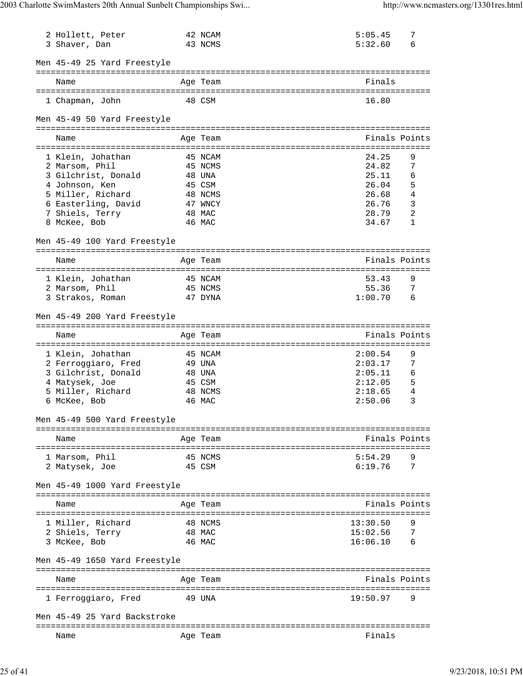| 2 Hollett, Peter<br>3 Shaver, Dan |        | 42 NCAM<br>43 NCMS     | 5:05.45<br>5:32.60             | 7<br>6        |
|-----------------------------------|--------|------------------------|--------------------------------|---------------|
| Men 45-49 25 Yard Freestyle       |        |                        |                                |               |
| Name                              |        | Age Team               | Finals                         |               |
|                                   |        |                        |                                |               |
| 1 Chapman, John                   |        | 48 CSM                 | 16.80                          |               |
| Men 45-49 50 Yard Freestyle       |        |                        |                                |               |
| Name                              |        | Age Team               |                                | Finals Points |
| 1 Klein, Johathan                 |        | 45 NCAM                | 24.25                          | 9             |
| 2 Marsom, Phil                    |        | 45 NCMS                | 24.82                          | 7             |
| 3 Gilchrist, Donald               |        | 48 UNA                 | 25.11                          | 6             |
| 4 Johnson, Ken                    |        | 45 CSM                 | 26.04                          | 5             |
| 5 Miller, Richard                 |        | 48 NCMS                | 26.68                          | 4             |
| 6 Easterling, David               |        | 47 WNCY                | 26.76                          | 3             |
| 7 Shiels, Terry                   | 48 MAC |                        | 28.79                          | 2             |
| 8 McKee, Bob                      |        | 46 MAC                 | 34.67                          | 1             |
| Men 45-49 100 Yard Freestyle      |        |                        |                                |               |
| Name                              |        | Age Team               |                                | Finals Points |
|                                   |        |                        |                                |               |
| 1 Klein, Johathan                 |        | 45 NCAM                | 53.43                          | 9             |
| 2 Marsom, Phil                    |        | 45 NCMS                | 55.36                          | 7             |
| 3 Strakos, Roman                  |        | 47 DYNA                | 1:00.70                        | 6             |
| Men 45-49 200 Yard Freestyle      |        |                        |                                |               |
| Name                              |        | ==========<br>Age Team |                                | Finals Points |
|                                   |        |                        | ================               |               |
| 1 Klein, Johathan                 |        | 45 NCAM                | 2:00.54                        | 9             |
| 2 Ferroggiaro, Fred               |        | 49 UNA                 | 2:03.17                        | 7             |
| 3 Gilchrist, Donald               |        | 48 UNA                 | 2:05.11                        | 6             |
| 4 Matysek, Joe                    |        | 45 CSM                 | 2:12.05                        | 5             |
| 5 Miller, Richard                 |        | 48 NCMS                | 2:18.65                        | 4             |
| 6 McKee, Bob                      |        | 46 MAC                 | 2:50.06                        | 3             |
| Men 45-49 500 Yard Freestyle      |        |                        |                                |               |
|                                   |        |                        |                                |               |
| Name                              |        | Age Team               |                                | Finals Points |
| 1 Marsom, Phil                    |        | 45 NCMS                | 5:54.29                        | 9             |
| 2 Matysek, Joe                    |        | 45 CSM                 | 6:19.76                        | 7             |
|                                   |        |                        |                                |               |
| Men 45-49 1000 Yard Freestyle     |        |                        | ============================== |               |
| Name                              |        | Age Team               |                                | Finals Points |
| ----------------------            |        | ===================    | =============================  |               |
| 1 Miller, Richard                 |        | 48 NCMS                | 13:30.50                       | 9             |
| 2 Shiels, Terry                   |        | 48 MAC                 | 15:02.56                       | 7             |
| 3 McKee, Bob                      |        | 46 MAC                 | 16:06.10                       |               |
| Men 45-49 1650 Yard Freestyle     |        |                        |                                |               |
| Name                              |        | Age Team               |                                | Finals Points |
|                                   |        |                        |                                |               |
| 1 Ferroggiaro, Fred               |        | 49 UNA                 | 19:50.97                       | 9             |
| Men 45-49 25 Yard Backstroke      |        |                        |                                |               |
| -------------------------<br>Name |        | Age Team               | Finals                         |               |
|                                   |        |                        |                                |               |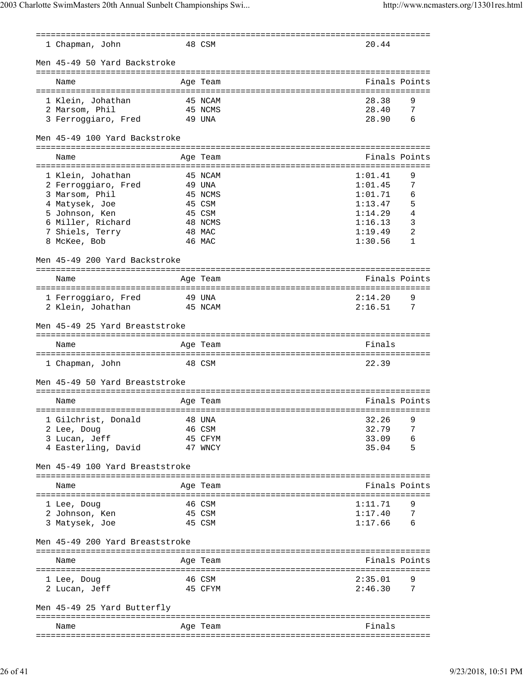| 1 Chapman, John                 | 48 CSM            | 20.44              |               |
|---------------------------------|-------------------|--------------------|---------------|
| Men 45-49 50 Yard Backstroke    |                   |                    |               |
|                                 |                   |                    |               |
| Name                            | Age Team          |                    | Finals Points |
|                                 |                   |                    |               |
| 1 Klein, Johathan               | 45 NCAM           | 28.38              | 9             |
| 2 Marsom, Phil                  | 45 NCMS           | 28.40<br>28.90     | 7<br>6        |
| 3 Ferroggiaro, Fred             | 49 UNA            |                    |               |
| Men 45-49 100 Yard Backstroke   |                   |                    |               |
| Name                            | Age Team          |                    | Finals Points |
|                                 |                   |                    |               |
| 1 Klein, Johathan               | 45 NCAM           | 1:01.41            | 9             |
| 2 Ferroggiaro, Fred             | 49 UNA            | 1:01.45            | 7             |
| 3 Marsom, Phil                  | 45 NCMS           | 1:01.71            | 6             |
| 4 Matysek, Joe                  | 45 CSM            | 1:13.47            | 5             |
| 5 Johnson, Ken                  | 45 CSM            | 1:14.29            | 4             |
| 6 Miller, Richard               | 48 NCMS           | 1:16.13            | 3             |
| 7 Shiels, Terry                 | 48 MAC            | 1:19.49            | 2             |
| 8 McKee, Bob                    | 46 MAC            | 1:30.56            | 1             |
| Men 45-49 200 Yard Backstroke   |                   |                    |               |
| Name                            | Age Team          |                    | Finals Points |
|                                 |                   |                    |               |
| 1 Ferroggiaro, Fred             | 49 UNA            | 2:14.20            | 9             |
| 2 Klein, Johathan               | 45 NCAM           | 2:16.51            | 7             |
|                                 |                   |                    |               |
| Men 45-49 25 Yard Breaststroke  |                   |                    |               |
| Name                            | Age Team          | Finals             |               |
| 1 Chapman, John                 | 48 CSM            | 22.39              |               |
| Men 45-49 50 Yard Breaststroke  |                   |                    |               |
|                                 |                   |                    |               |
| Name                            | Age Team          |                    | Finals Points |
|                                 |                   |                    |               |
| 1 Gilchrist, Donald             | 48 UNA            | 32.26              | 9             |
| 2 Lee, Doug                     | 46 CSM            | 32.79              | 7             |
| 3 Lucan, Jeff                   | 45 CFYM           | 33.09              | 6             |
| 4 Easterling, David             | 47 WNCY           | 35.04              | 5             |
| Men 45-49 100 Yard Breaststroke |                   |                    |               |
| Name                            | Age Team          |                    | Finals Points |
|                                 |                   |                    |               |
| 1 Lee, Doug                     | 46 CSM            | 1:11.71            | 9             |
| 2 Johnson, Ken                  | 45 CSM            | 1:17.40            | 7             |
| 3 Matysek, Joe                  | 45 CSM            | 1:17.66            | 6             |
|                                 |                   |                    |               |
| Men 45-49 200 Yard Breaststroke |                   |                    |               |
|                                 |                   |                    |               |
| Name                            | Age Team          |                    | Finals Points |
|                                 |                   |                    |               |
| 1 Lee, Doug                     | 46 CSM<br>45 CFYM | 2:35.01<br>2:46.30 |               |
| 2 Lucan, Jeff                   |                   |                    | 7             |
| Men 45-49 25 Yard Butterfly     |                   |                    |               |
| ==================              | ============      |                    |               |
| Name                            | Age Team          | Finals             |               |
|                                 |                   |                    |               |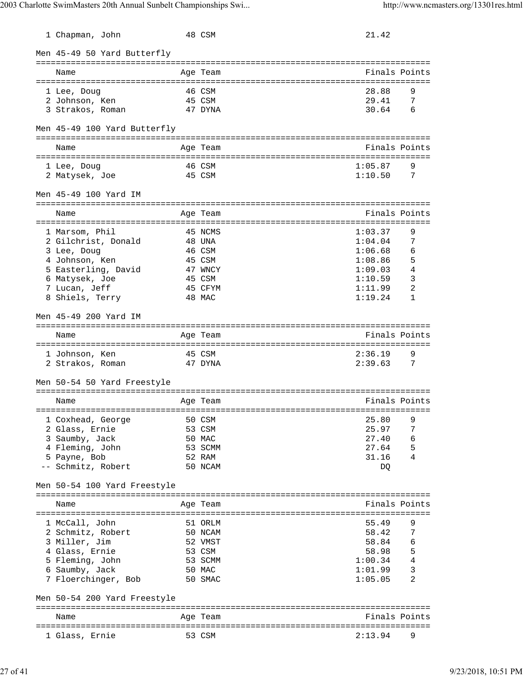| 1 Chapman, John                              |           | 48 CSM            | 21.42                          |                |
|----------------------------------------------|-----------|-------------------|--------------------------------|----------------|
| Men 45-49 50 Yard Butterfly                  |           |                   |                                |                |
| Name                                         |           | Age Team          |                                | Finals Points  |
|                                              |           |                   | ============================== | ======         |
| 1 Lee, Doug                                  |           | 46 CSM            | 28.88                          | 9              |
| 2 Johnson, Ken<br>3 Strakos, Roman           |           | 45 CSM<br>47 DYNA | 29.41<br>30.64                 | 7<br>6         |
|                                              |           |                   |                                |                |
| Men 45-49 100 Yard Butterfly                 |           |                   |                                |                |
| Name                                         |           | Age Team          |                                | Finals Points  |
|                                              |           |                   |                                |                |
| 1 Lee, Doug                                  |           | 46 CSM            | 1:05.87                        | 9              |
| 2 Matysek, Joe                               |           | 45 CSM            | 1:10.50                        | 7              |
| Men 45-49 100 Yard IM<br>=================== |           |                   |                                |                |
| Name                                         |           | Aqe Team          |                                | Finals Points  |
| 1 Marsom, Phil                               |           |                   | 1:03.37                        | 9              |
| 2 Gilchrist, Donald                          |           | 45 NCMS<br>48 UNA | 1:04.04                        | 7              |
| 3 Lee, Doug                                  |           | 46 CSM            | 1:06.68                        | 6              |
| 4 Johnson, Ken                               |           | 45 CSM            | 1:08.86                        | 5              |
| 5 Easterling, David                          |           | 47 WNCY           | 1:09.03                        | 4              |
| 6 Matysek, Joe                               |           | 45 CSM            | 1:10.59                        | 3              |
| 7 Lucan, Jeff                                |           | 45 CFYM           | 1:11.99                        | 2              |
| 8 Shiels, Terry                              |           | 48 MAC            | 1:19.24                        | 1              |
| Men 45-49 200 Yard IM                        |           |                   |                                |                |
|                                              |           |                   |                                |                |
| Name                                         | :======== | Age Team          |                                | Finals Points  |
| 1 Johnson, Ken                               |           | 45 CSM            | 2:36.19                        | 9              |
| 2 Strakos, Roman                             |           | 47 DYNA           | 2:39.63                        | 7              |
|                                              |           |                   |                                |                |
| Men 50-54 50 Yard Freestyle                  |           |                   |                                |                |
| Name                                         |           | Age Team          |                                | Finals Points  |
|                                              |           |                   |                                |                |
| 1 Coxhead, George                            |           | 50 CSM            | 25.80                          | 9              |
| 2 Glass, Ernie                               |           | 53 CSM            | 25.97                          | 7              |
| 3 Saumby, Jack                               |           | 50 MAC            | 27.40                          | 6              |
| 4 Fleming, John                              |           | 53 SCMM           | 27.64                          | 5              |
| 5 Payne, Bob                                 |           | 52 RAM            | 31.16                          | 4              |
| -- Schmitz, Robert                           |           | 50 NCAM           | DQ                             |                |
| Men 50-54 100 Yard Freestyle                 |           |                   |                                |                |
| Name                                         |           | Age Team          |                                | Finals Points  |
|                                              |           |                   |                                |                |
| 1 McCall, John                               |           | 51 ORLM           | 55.49                          | 9              |
| 2 Schmitz, Robert                            |           | 50 NCAM           | 58.42                          | 7              |
| 3 Miller, Jim                                |           | 52 VMST           | 58.84                          | 6              |
| 4 Glass, Ernie                               |           | 53 CSM            | 58.98                          | -5             |
| 5 Fleming, John                              |           | 53 SCMM           | 1:00.34                        | $\overline{4}$ |
| 6 Saumby, Jack                               |           | 50 MAC            | 1:01.99                        | 3              |
| 7 Floerchinger, Bob                          |           | 50 SMAC           | 1:05.05                        | 2              |
| Men 50-54 200 Yard Freestyle                 |           |                   |                                |                |
| ===========================<br>Name          |           |                   |                                | Finals Points  |
|                                              |           | Age Team          |                                |                |
| 1 Glass, Ernie<br>53 CSM                     |           |                   | 2:13.94                        | 9              |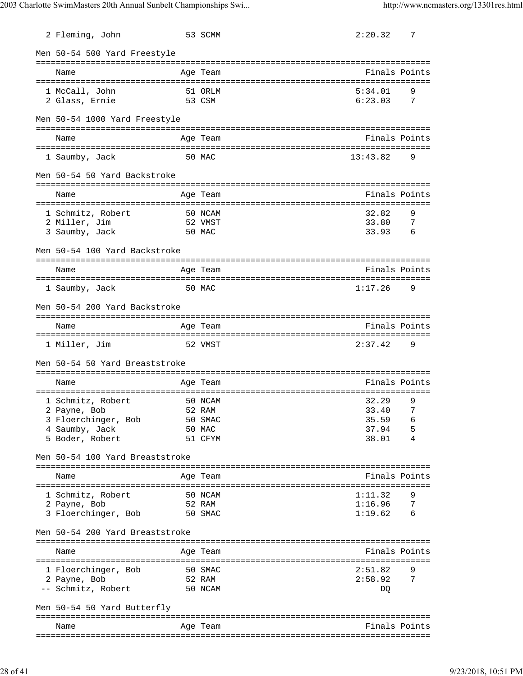| 2 Fleming, John                 | 53 SCMM           | 2:20.32  | 7               |
|---------------------------------|-------------------|----------|-----------------|
| Men 50-54 500 Yard Freestyle    |                   |          |                 |
| Name                            | Age Team          |          | Finals Points   |
| 1 McCall, John                  | 51 ORLM           | 5:34.01  | 9               |
| 2 Glass, Ernie                  | 53 CSM            | 6:23.03  | 7               |
| Men 50-54 1000 Yard Freestyle   |                   |          |                 |
| Name                            | Age Team          |          | Finals Points   |
| 1 Saumby, Jack                  | 50 MAC            | 13:43.82 | 9               |
| Men 50-54 50 Yard Backstroke    |                   |          |                 |
| Name                            | Age Team          |          | Finals Points   |
| 1 Schmitz, Robert               | 50 NCAM           | 32.82    | 9               |
| 2 Miller, Jim                   | 52 VMST           | 33.80    | 7               |
| 3 Saumby, Jack                  | 50 MAC            | 33.93    | $6^{\circ}$     |
| Men 50-54 100 Yard Backstroke   |                   |          |                 |
| Name                            | Age Team          |          | Finals Points   |
| 1 Saumby, Jack                  | 50 MAC            | 1:17.26  | 9               |
|                                 |                   |          |                 |
| Men 50-54 200 Yard Backstroke   |                   |          |                 |
| Name                            | Age Team          |          | Finals Points   |
| 1 Miller, Jim                   | 52 VMST           | 2:37.42  | 9               |
| Men 50-54 50 Yard Breaststroke  |                   |          |                 |
|                                 |                   |          |                 |
| Name                            | Age Team          |          | Finals Points   |
| 1 Schmitz, Robert               | 50 NCAM           | 32.29    | 9               |
| 2 Payne, Bob                    | 52 RAM            | 33.40    | 7               |
| 3 Floerchinger, Bob             | 50 SMAC           | 35.59    | 6               |
| 4 Saumby, Jack                  | 50 MAC            | 37.94    | 5               |
| 5 Boder, Robert                 | 51 CFYM           | 38.01    | 4               |
| Men 50-54 100 Yard Breaststroke |                   |          |                 |
| Name                            | Age Team          |          | Finals Points   |
| 1 Schmitz, Robert               |                   | 1:11.32  | 9               |
| 2 Payne, Bob                    | 50 NCAM<br>52 RAM | 1:16.96  | 7               |
| 3 Floerchinger, Bob             | 50 SMAC           | 1:19.62  | $6\overline{6}$ |
|                                 |                   |          |                 |
| Men 50-54 200 Yard Breaststroke |                   |          |                 |
| Name                            | Age Team          |          | Finals Points   |
|                                 |                   |          |                 |
| 1 Floerchinger, Bob             | 50 SMAC           | 2:51.82  | 9               |
| 2 Payne, Bob                    | 52 RAM            | 2:58.92  | 7               |
| -- Schmitz, Robert              | 50 NCAM           | DQ       |                 |
| Men 50-54 50 Yard Butterfly     |                   |          |                 |
| Name                            | Age Team          |          | Finals Points   |
|                                 |                   |          |                 |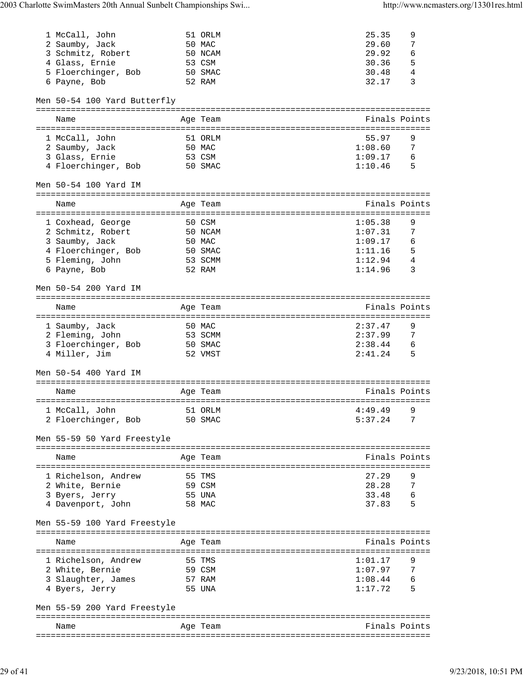| 1 McCall, John               | 51 ORLM  | 25.35         | 9             |
|------------------------------|----------|---------------|---------------|
| 2 Saumby, Jack               | 50 MAC   | 29.60         | 7             |
| 3 Schmitz, Robert            | 50 NCAM  | 29.92         | 6             |
| 4 Glass, Ernie               | 53 CSM   | 30.36         | 5             |
| 5 Floerchinger, Bob          | 50 SMAC  | 30.48         | 4             |
| 6 Payne, Bob                 | 52 RAM   | 32.17         | 3             |
|                              |          |               |               |
| Men 50-54 100 Yard Butterfly |          |               |               |
| Name                         | Age Team |               | Finals Points |
|                              |          |               |               |
|                              |          |               |               |
| 1 McCall, John               | 51 ORLM  | 55.97         | 9             |
| 2 Saumby, Jack               | 50 MAC   | 1:08.60       | 7             |
| 3 Glass, Ernie               | 53 CSM   | 1:09.17       | 6             |
| 4 Floerchinger, Bob          | 50 SMAC  | 1:10.46       | -5            |
|                              |          |               |               |
| Men 50-54 100 Yard IM        |          |               |               |
|                              |          |               |               |
| Name                         | Age Team |               | Finals Points |
|                              |          |               |               |
| 1 Coxhead, George            | 50 CSM   | 1:05.38       | 9             |
| 2 Schmitz, Robert            | 50 NCAM  | 1:07.31       | 7             |
|                              |          | 1:09.17       |               |
| 3 Saumby, Jack               | 50 MAC   |               | 6             |
| 4 Floerchinger, Bob          | 50 SMAC  | 1:11.16       | 5             |
| 5 Fleming, John              | 53 SCMM  | 1:12.94       | 4             |
| 6 Payne, Bob                 | 52 RAM   | 1:14.96       | 3             |
|                              |          |               |               |
| Men 50-54 200 Yard IM        |          |               |               |
|                              |          |               |               |
| Name                         | Age Team | Finals Points |               |
|                              |          |               |               |
| 1 Saumby, Jack               | 50 MAC   | 2:37.47       | 9             |
|                              |          | 2:37.99       |               |
| 2 Fleming, John              | 53 SCMM  |               | 7             |
| 3 Floerchinger, Bob          | 50 SMAC  | 2:38.44       | - 6           |
| 4 Miller, Jim                | 52 VMST  | 2:41.24       | - 5           |
|                              |          |               |               |
| Men 50-54 400 Yard IM        |          |               |               |
|                              |          |               |               |
| Name                         | Age Team |               | Finals Points |
|                              |          |               |               |
| 1 McCall, John               | 51 ORLM  | 4:49.49       |               |
| 2 Floerchinger, Bob          | 50 SMAC  | 5:37.24       | 7             |
|                              |          |               |               |
|                              |          |               |               |
| Men 55-59 50 Yard Freestyle  |          |               |               |
|                              |          |               |               |
| Name                         | Age Team |               | Finals Points |
|                              |          |               |               |
| 1 Richelson, Andrew          | 55 TMS   | 27.29         | 9             |
| 2 White, Bernie              | 59 CSM   | 28.28         | 7             |
| 3 Byers, Jerry               | 55 UNA   | 33.48         | 6             |
| 4 Davenport, John            | 58 MAC   | 37.83         | - 5           |
|                              |          |               |               |
| Men 55-59 100 Yard Freestyle |          |               |               |
|                              |          |               |               |
|                              |          |               |               |
| Name                         | Age Team |               | Finals Points |
|                              |          |               |               |
| 1 Richelson, Andrew          | 55 TMS   | 1:01.17       | 9             |
| 2 White, Bernie              | 59 CSM   | 1:07.97       | 7             |
| 3 Slaughter, James           | 57 RAM   | 1:08.44       | 6             |
| 4 Byers, Jerry               | 55 UNA   | 1:17.72       | 5             |
|                              |          |               |               |
|                              |          |               |               |
|                              |          |               |               |
| Men 55-59 200 Yard Freestyle |          |               |               |
|                              |          |               |               |
| Name                         | Age Team |               | Finals Points |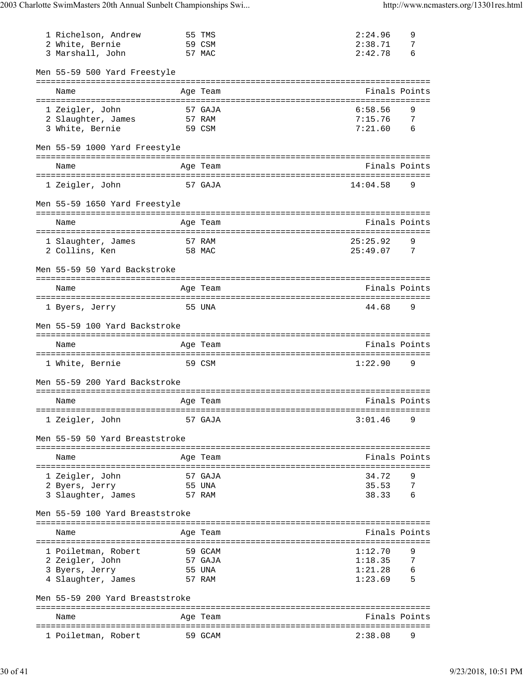| 1 Richelson, Andrew<br>2 White, Bernie<br>3 Marshall, John |        | 55 TMS<br>59 CSM<br>57 MAC            | 2:24.96<br>2:38.71<br>2:42.78 | 9<br>7<br>6   |
|------------------------------------------------------------|--------|---------------------------------------|-------------------------------|---------------|
| Men 55-59 500 Yard Freestyle                               |        |                                       |                               |               |
| Name                                                       |        | Age Team                              |                               | Finals Points |
| 1 Zeigler, John<br>2 Slaughter, James<br>3 White, Bernie   | 57 RAM | 57 GAJA<br>59 CSM                     | 6:58.56<br>7:15.76<br>7:21.60 | 9<br>7<br>6   |
| Men 55-59 1000 Yard Freestyle                              |        |                                       |                               |               |
| Name                                                       |        | Age Team                              |                               | Finals Points |
| 1 Zeigler, John                                            |        | 57 GAJA                               | 14:04.58                      | 9             |
| Men 55-59 1650 Yard Freestyle                              |        |                                       |                               |               |
| Name                                                       |        | Age Team                              |                               | Finals Points |
| 1 Slaughter, James                                         |        | =========================<br>57 RAM   | 25:25.92                      | 9             |
| 2 Collins, Ken                                             |        | 58 MAC                                | 25:49.07                      | 7             |
| Men 55-59 50 Yard Backstroke                               |        |                                       |                               |               |
| Name                                                       |        | Age Team                              |                               | Finals Points |
| 1 Byers, Jerry                                             |        | 55 UNA                                | 44.68                         | 9             |
| Men 55-59 100 Yard Backstroke                              |        |                                       |                               |               |
| Name                                                       |        | Age Team                              |                               | Finals Points |
|                                                            |        |                                       |                               |               |
| 1 White, Bernie                                            |        | 59 CSM                                | 1:22.90                       | 9             |
| Men 55-59 200 Yard Backstroke                              |        | ------------------------------------- |                               |               |
| Name                                                       |        | Age Team                              |                               | Finals Points |
| ============<br>1 Zeigler, John                            |        | =========<br>57 GAJA                  | 3:01.46                       | 9             |
| Men 55-59 50 Yard Breaststroke                             |        |                                       |                               |               |
| Name                                                       |        | Age Team                              |                               | Finals Points |
| 1 Zeigler, John                                            |        | 57 GAJA                               | 34.72                         | 9             |
| 2 Byers, Jerry                                             |        | 55 UNA                                | 35.53                         | 7             |
| 3 Slaughter, James                                         |        | 57 RAM                                | 38.33                         | 6             |
| Men 55-59 100 Yard Breaststroke                            |        |                                       |                               |               |
| Name                                                       |        | Age Team                              |                               | Finals Points |
| ====================<br>1 Poiletman, Robert                |        | ================<br>59 GCAM           | 1:12.70                       | 9             |
| 2 Zeigler, John                                            |        | 57 GAJA                               | 1:18.35                       | 7             |
| 3 Byers, Jerry                                             |        | 55 UNA                                | 1:21.28                       | 6             |
| 4 Slaughter, James                                         |        | 57 RAM                                | 1:23.69                       | 5             |
| Men 55-59 200 Yard Breaststroke                            |        |                                       |                               |               |
| Name<br>=====================                              |        | Age Team                              | ==========                    | Finals Points |
| 1 Poiletman, Robert                                        |        | 59 GCAM                               | 2:38.08                       | 9             |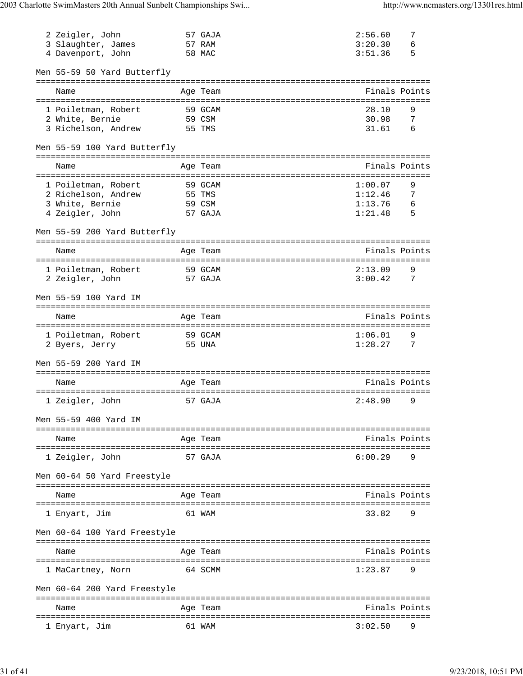| 2 Zeigler, John<br>3 Slaughter, James<br>4 Davenport, John                       | 57 GAJA<br>57 RAM<br>58 MAC                             | 2:56.60<br>3:20.30<br>3:51.36            | 7<br>6<br>5      |
|----------------------------------------------------------------------------------|---------------------------------------------------------|------------------------------------------|------------------|
| Men 55-59 50 Yard Butterfly                                                      |                                                         |                                          |                  |
| Name                                                                             | Age Team                                                |                                          | Finals Points    |
| 1 Poiletman, Robert<br>2 White, Bernie<br>3 Richelson, Andrew                    | 59 GCAM<br>59 CSM<br>55 TMS                             | 28.10<br>30.98<br>31.61                  | 9<br>7<br>6      |
| Men 55-59 100 Yard Butterfly                                                     |                                                         |                                          |                  |
| Name                                                                             | Age Team                                                |                                          | Finals Points    |
| 1 Poiletman, Robert<br>2 Richelson, Andrew<br>3 White, Bernie<br>4 Zeigler, John | 59 GCAM<br>55 TMS<br>59 CSM<br>57 GAJA                  | 1:00.07<br>1:12.46<br>1:13.76<br>1:21.48 | 9<br>7<br>6<br>5 |
| Men 55-59 200 Yard Butterfly                                                     |                                                         |                                          |                  |
| Name                                                                             | Age Team                                                |                                          | Finals Points    |
| 1 Poiletman, Robert<br>2 Zeigler, John                                           | 59 GCAM<br>57 GAJA                                      | 2:13.09<br>3:00.42                       | 9<br>7           |
| Men 55-59 100 Yard IM                                                            |                                                         |                                          |                  |
| Name                                                                             | Age Team                                                |                                          | Finals Points    |
| 1 Poiletman, Robert<br>2 Byers, Jerry                                            | ==================================<br>59 GCAM<br>55 UNA | 1:06.01<br>1:28.27                       | 9<br>7           |
| Men 55-59 200 Yard IM                                                            |                                                         |                                          |                  |
| Name                                                                             | Age Team                                                |                                          | Finals Points    |
| 1 Zeigler, John                                                                  | 57 GAJA                                                 | 2:48.90                                  | 9                |
| Men 55-59 400 Yard IM                                                            |                                                         |                                          |                  |
| Name                                                                             | Age Team                                                |                                          | Finals Points    |
| 1 Zeigler, John                                                                  | 57 GAJA                                                 | 6:00.29                                  | 9                |
| Men 60-64 50 Yard Freestyle                                                      |                                                         |                                          |                  |
| Name                                                                             | Age Team                                                |                                          | Finals Points    |
| 1 Enyart, Jim                                                                    | 61 WAM                                                  | 33.82                                    | 9                |
| Men 60-64 100 Yard Freestyle                                                     |                                                         |                                          |                  |
| Name                                                                             | Age Team                                                |                                          | Finals Points    |
| 1 MaCartney, Norn                                                                | 64 SCMM                                                 | 1:23.87                                  | 9                |
| Men 60-64 200 Yard Freestyle                                                     |                                                         |                                          |                  |
| Name                                                                             | Age Team                                                |                                          | Finals Points    |
| ===============<br>1 Enyart, Jim                                                 | 61 WAM                                                  | =================<br>3:02.50             | 9                |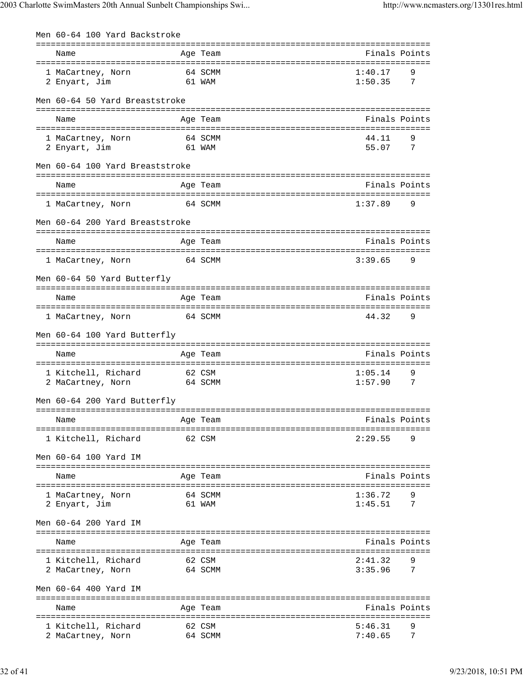| Men 60-64 100 Yard Backstroke        |        |                   |                                 |                |
|--------------------------------------|--------|-------------------|---------------------------------|----------------|
| Name                                 |        | Age Team          |                                 | Finals Points  |
|                                      |        |                   |                                 |                |
| 1 MaCartney, Norn<br>2 Enyart, Jim   |        | 64 SCMM<br>61 WAM | 1:40.17<br>1:50.35              | 9<br>7         |
|                                      |        |                   |                                 |                |
| Men 60-64 50 Yard Breaststroke       |        |                   |                                 |                |
| Name                                 |        | Age Team          |                                 | Finals Points  |
|                                      |        |                   |                                 |                |
| 1 MaCartney, Norn                    |        | 64 SCMM           | 44.11                           | 9              |
| 2 Enyart, Jim                        | 61 WAM |                   | 55.07                           | $\overline{7}$ |
| Men 60-64 100 Yard Breaststroke      |        |                   |                                 |                |
| Name                                 |        | Age Team          |                                 | Finals Points  |
|                                      |        |                   |                                 |                |
| 1 MaCartney, Norn                    |        | 64 SCMM           | 1:37.89                         | 9              |
| Men 60-64 200 Yard Breaststroke      |        |                   |                                 |                |
|                                      |        |                   |                                 |                |
| Name                                 |        | Age Team          |                                 | Finals Points  |
| 1 MaCartney, Norn                    |        | 64 SCMM           | 3:39.65                         | 9              |
| Men 60-64 50 Yard Butterfly          |        |                   |                                 |                |
|                                      |        |                   |                                 |                |
| Name                                 |        | Age Team          |                                 | Finals Points  |
| 1 MaCartney, Norn                    |        | 64 SCMM           | 44.32                           | 9              |
|                                      |        |                   |                                 |                |
| Men 60-64 100 Yard Butterfly         |        |                   |                                 |                |
| Name                                 |        | Age Team          |                                 | Finals Points  |
|                                      |        |                   |                                 |                |
| 1 Kitchell, Richard                  | 62 CSM |                   | 1:05.14<br>1:57.90              | 9<br>7         |
| 2 MaCartney, Norn                    |        | 64 SCMM           |                                 |                |
| Men 60-64 200 Yard Butterfly         |        |                   |                                 |                |
| Name                                 |        | Age Team          |                                 | Finals Points  |
| ==================================== |        |                   | =============================== |                |
| 1 Kitchell, Richard                  |        | 62 CSM            | 2:29.55                         | 9              |
| Men 60-64 100 Yard IM                |        |                   |                                 |                |
|                                      |        |                   |                                 |                |
| Name<br>========================     |        | Age Team          |                                 | Finals Points  |
| 1 MaCartney, Norn                    |        | 64 SCMM           | 1:36.72                         | 9              |
| 2 Enyart, Jim                        |        | 61 WAM            | 1:45.51                         | 7              |
| Men 60-64 200 Yard IM                |        |                   |                                 |                |
|                                      |        |                   |                                 |                |
| Name                                 |        | Age Team          |                                 | Finals Points  |
| 1 Kitchell, Richard                  |        | 62 CSM            | 2:41.32                         | 9              |
| 2 MaCartney, Norn                    |        | 64 SCMM           | 3:35.96                         | 7              |
| Men 60-64 400 Yard IM                |        |                   |                                 |                |
|                                      |        |                   |                                 |                |
| Name                                 |        | Age Team          |                                 | Finals Points  |
| 1 Kitchell, Richard                  |        | 62 CSM            | 5:46.31                         | 9              |
| 2 MaCartney, Norn                    |        | 64 SCMM           | 7:40.65                         | 7              |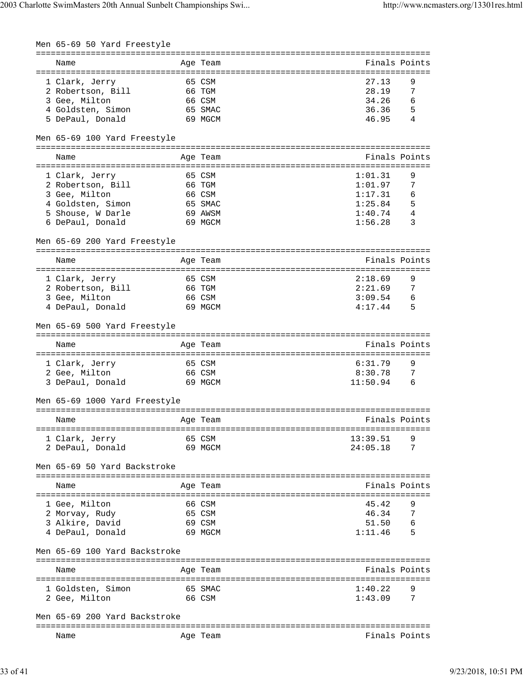| Men 65-69 50 Yard Freestyle               |                                |                    |                            |
|-------------------------------------------|--------------------------------|--------------------|----------------------------|
|                                           |                                |                    |                            |
| Name                                      | Age Team                       |                    | Finals Points              |
|                                           |                                |                    |                            |
| 1 Clark, Jerry                            | 65 CSM                         | 27.13              | 9                          |
| 2 Robertson, Bill                         | 66 TGM                         | 28.19              | 7                          |
| 3 Gee, Milton                             | 66 CSM                         | 34.26              | 6                          |
| 4 Goldsten, Simon                         | 65 SMAC                        | 36.36              | 5                          |
| 5 DePaul, Donald                          | 69 MGCM                        | 46.95              | 4                          |
|                                           |                                |                    |                            |
| Men 65-69 100 Yard Freestyle              |                                |                    |                            |
|                                           |                                |                    |                            |
| Name                                      | Age Team                       |                    | Finals Points              |
|                                           |                                |                    |                            |
| 1 Clark, Jerry                            | 65 CSM                         | 1:01.31            | 9                          |
| 2 Robertson, Bill                         | 66 TGM                         | 1:01.97            | 7                          |
| 3 Gee, Milton                             | 66 CSM                         | 1:17.31            | 6                          |
| 4 Goldsten, Simon                         | 65 SMAC                        | 1:25.84            | 5                          |
| 5 Shouse, W Darle                         | 69 AWSM                        | $1:40.74$ 4        |                            |
| 6 DePaul, Donald                          | 69 MGCM                        | 1:56.28            | 3                          |
| Men 65-69 200 Yard Freestyle              |                                |                    |                            |
|                                           |                                |                    |                            |
| Name                                      | Age Team                       |                    | Finals Points              |
|                                           |                                |                    |                            |
| 1 Clark, Jerry                            | 65 CSM                         | 2:18.69            | 9                          |
| 2 Robertson, Bill                         | 66 TGM                         | 2:21.69 7          |                            |
| 3 Gee, Milton                             | 66 CSM                         | 3:09.54            | 6                          |
| 4 DePaul, Donald                          | 69 MGCM                        | $4:17.44$ 5        |                            |
| Men 65-69 500 Yard Freestyle              |                                |                    |                            |
| Name                                      | Age Team                       |                    | Finals Points              |
|                                           |                                |                    |                            |
| 1 Clark, Jerry                            | 65 CSM                         | 6:31.79            | 9                          |
| 2 Gee, Milton                             | 66 CSM                         | 8:30.78            | 7                          |
|                                           |                                |                    | 6                          |
|                                           |                                |                    |                            |
| 3 DePaul, Donald                          | 69 MGCM                        | 11:50.94           |                            |
| Men 65-69 1000 Yard Freestyle             |                                |                    |                            |
|                                           |                                |                    |                            |
| Name                                      | Age Team                       |                    | Finals Points              |
|                                           |                                |                    |                            |
| 1 Clark, Jerry                            | 65 CSM                         | 13:39.51           | 9                          |
| 2 DePaul, Donald                          | 69 MGCM                        | 24:05.18           | 7                          |
| Men 65-69 50 Yard Backstroke              |                                |                    |                            |
| Name                                      | Age Team                       |                    | Finals Points              |
| ======================                    |                                |                    |                            |
| 1 Gee, Milton                             | 66 CSM                         | 45.42              | 9                          |
| 2 Morvay, Rudy                            | 65 CSM                         | 46.34              | 7                          |
| 3 Alkire, David                           | 69 CSM                         |                    |                            |
| 4 DePaul, Donald                          | 69 MGCM                        | 51.50 6<br>1:11.46 | $\overline{\phantom{0}}$ 5 |
|                                           |                                |                    |                            |
| Men 65-69 100 Yard Backstroke             |                                |                    |                            |
| Name                                      | Age Team                       |                    | Finals Points              |
| =======================<br>============== | ============================== |                    |                            |
| 1 Goldsten, Simon<br>65 SMAC              |                                | 1:40.22            | 9                          |
| 2 Gee, Milton                             | 66 CSM                         | 1:43.09            | 7                          |
|                                           |                                |                    |                            |
| Men 65-69 200 Yard Backstroke             |                                |                    |                            |
| Name                                      | Age Team                       |                    | Finals Points              |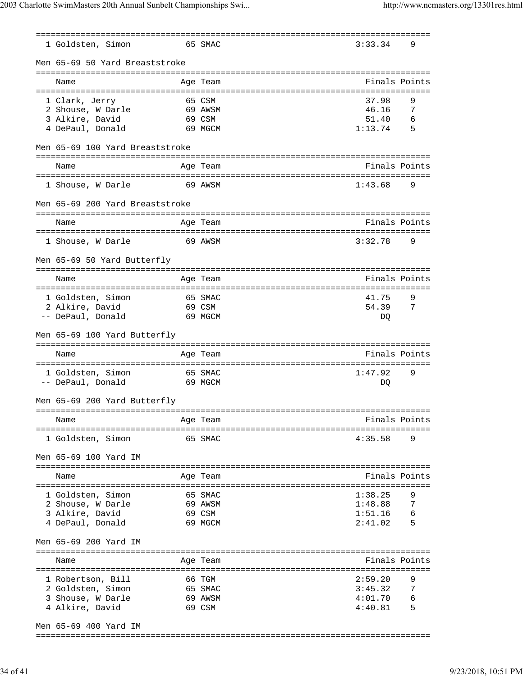| 1 Goldsten, Simon                      |                       | 65 SMAC            | 3:33.34            | 9             |
|----------------------------------------|-----------------------|--------------------|--------------------|---------------|
| Men 65-69 50 Yard Breaststroke         |                       |                    |                    |               |
| Name                                   |                       | Age Team           |                    | Finals Points |
| 1 Clark, Jerry                         |                       | 65 CSM             | 37.98              | 9             |
| 2 Shouse, W Darle                      |                       | 69 AWSM            | 46.16              | -7            |
| 3 Alkire, David                        |                       | 69 CSM             | 51.40              | 6             |
| 4 DePaul, Donald                       |                       | 69 MGCM            | 1:13.74            | 5             |
| Men 65-69 100 Yard Breaststroke        |                       |                    |                    |               |
| Name                                   |                       | Age Team           |                    | Finals Points |
|                                        |                       |                    |                    |               |
| 1 Shouse, W Darle                      |                       | 69 AWSM            | 1:43.68            | 9             |
| Men 65-69 200 Yard Breaststroke        |                       |                    |                    |               |
| Name                                   |                       | Age Team           |                    | Finals Points |
|                                        |                       |                    |                    |               |
| 1 Shouse, W Darle                      |                       | 69 AWSM            | 3:32.78            | 9             |
| Men 65-69 50 Yard Butterfly            |                       |                    |                    |               |
| Name                                   |                       | Age Team           |                    | Finals Points |
|                                        |                       |                    |                    |               |
| 1 Goldsten, Simon                      |                       | 65 SMAC            | 41.75              | 9             |
| 2 Alkire, David                        |                       | 69 CSM             | 54.39              | 7             |
| -- DePaul, Donald                      |                       | 69 MGCM            | DO.                |               |
|                                        |                       |                    |                    |               |
| Men 65-69 100 Yard Butterfly           |                       | :=========         |                    |               |
| Name                                   |                       | Age Team           |                    | Finals Points |
|                                        | . = = = = = = = = = : |                    |                    |               |
| 1 Goldsten, Simon<br>-- DePaul, Donald |                       | 65 SMAC<br>69 MGCM | 1:47.92<br>DQ      | 9             |
| Men 65-69 200 Yard Butterfly           |                       |                    |                    |               |
|                                        |                       |                    |                    |               |
| Name                                   |                       | Age Team           |                    | Finals Points |
| 1 Goldsten, Simon                      |                       | 65 SMAC            | 4:35.58            | 9             |
| Men 65-69 100 Yard IM                  |                       |                    |                    |               |
| Name                                   |                       | Age Team           |                    | Finals Points |
|                                        |                       |                    |                    |               |
| 1 Goldsten, Simon                      |                       | 65 SMAC            | 1:38.25            | 9             |
| 2 Shouse, W Darle                      |                       | 69 AWSM            | 1:48.88            | -7<br>6       |
| 3 Alkire, David<br>4 DePaul, Donald    |                       | 69 CSM<br>69 MGCM  | 1:51.16<br>2:41.02 | -5            |
| Men 65-69 200 Yard IM                  |                       |                    |                    |               |
|                                        |                       |                    |                    |               |
| Name                                   |                       | Age Team           |                    | Finals Points |
|                                        |                       |                    |                    |               |
| 1 Robertson, Bill<br>2 Goldsten, Simon |                       | 66 TGM<br>65 SMAC  | 2:59.20<br>3:45.32 | 9<br>7        |
| 3 Shouse, W Darle                      |                       | 69 AWSM            | 4:01.70            | 6             |

Men 65-69 400 Yard IM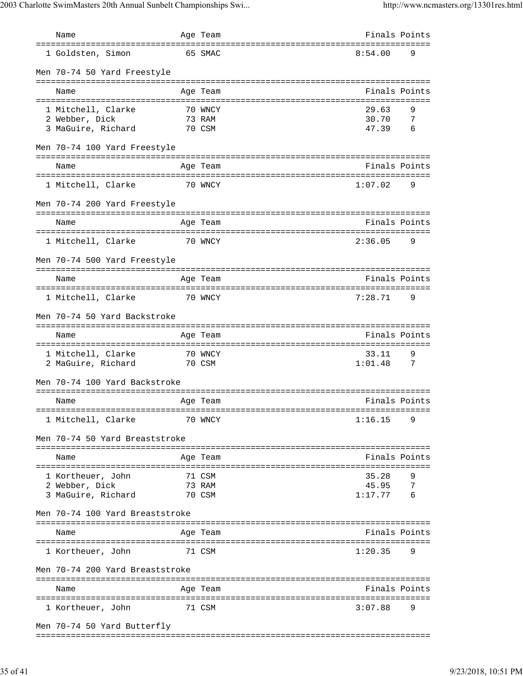| Name                                                       | Age Team                    |                           | Finals Points            |
|------------------------------------------------------------|-----------------------------|---------------------------|--------------------------|
| 1 Goldsten, Simon                                          | 65 SMAC                     | 8:54.00                   | 9                        |
| Men 70-74 50 Yard Freestyle                                |                             |                           |                          |
| Name                                                       | Age Team                    |                           | Finals Points            |
| 1 Mitchell, Clarke<br>2 Webber, Dick<br>3 MaGuire, Richard | 70 WNCY<br>73 RAM<br>70 CSM | 29.63<br>30.70<br>47.39   | 9<br>7<br>6              |
| Men 70-74 100 Yard Freestyle                               |                             |                           |                          |
| Name                                                       | Age Team                    |                           | Finals Points            |
| 1 Mitchell, Clarke                                         | 70 WNCY                     | 1:07.02                   | 9                        |
| Men 70-74 200 Yard Freestyle                               |                             |                           |                          |
| -----------------------<br>Name                            | Age Team                    |                           | Finals Points            |
| 1 Mitchell, Clarke                                         | 70 WNCY                     | 2:36.05                   | 9                        |
| Men 70-74 500 Yard Freestyle                               |                             |                           |                          |
| Name                                                       | Age Team                    |                           | Finals Points            |
| 1 Mitchell, Clarke                                         | 70 WNCY                     | 7:28.71                   | 9                        |
| Men 70-74 50 Yard Backstroke                               |                             |                           |                          |
| Name                                                       | Age Team<br>=============== |                           | Finals Points            |
| 1 Mitchell, Clarke<br>2 MaGuire, Richard                   | 70 WNCY<br>70 CSM           | 33.11<br>1:01.48          | 9<br>7                   |
| Men 70-74 100 Yard Backstroke                              |                             |                           |                          |
| Name                                                       | Age Team                    |                           | Finals Points            |
| 1 Mitchell, Clarke                                         | 70 WNCY                     | 1:16.15                   | 9                        |
| Men 70-74 50 Yard Breaststroke                             |                             |                           |                          |
| Name                                                       | Age Team                    |                           | Finals Points            |
| 1 Kortheuer, John<br>2 Webber, Dick<br>3 MaGuire, Richard  | 71 CSM<br>73 RAM<br>70 CSM  | 35.28<br>45.95<br>1:17.77 | 9<br>$\overline{7}$<br>6 |
| Men 70-74 100 Yard Breaststroke                            |                             |                           |                          |
| Name                                                       | Age Team                    |                           | Finals Points            |
| 1 Kortheuer, John                                          | 71 CSM                      | 1:20.35                   | 9                        |
| Men 70-74 200 Yard Breaststroke                            |                             |                           |                          |
| Name                                                       | Age Team                    |                           | Finals Points            |
| 1 Kortheuer, John                                          | 71 CSM                      | 3:07.88                   | 9                        |
| Men 70-74 50 Yard Butterfly                                |                             |                           |                          |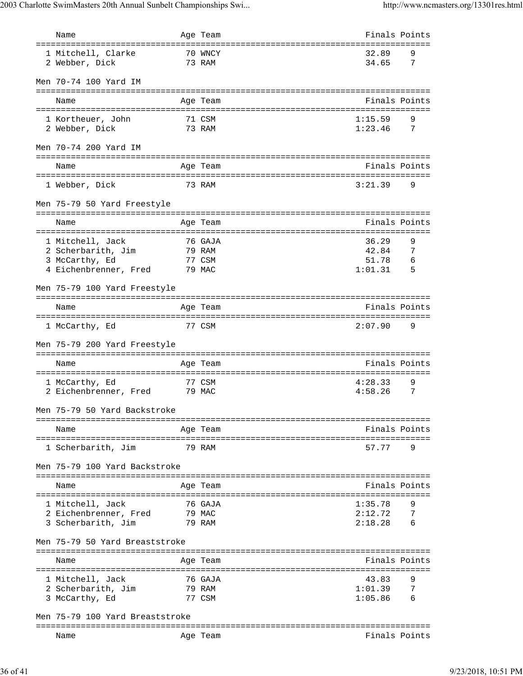| Name                                                                        | Age Team          |                                 |                    | Finals Points |
|-----------------------------------------------------------------------------|-------------------|---------------------------------|--------------------|---------------|
| ===================================<br>1 Mitchell, Clarke<br>2 Webber, Dick | 70 WNCY<br>73 RAM | =============================== | 32.89<br>34.65     | 9<br>- 7      |
| Men 70-74 100 Yard IM                                                       |                   |                                 |                    |               |
| Name                                                                        | Age Team          |                                 |                    | Finals Points |
| 1 Kortheuer, John<br>2 Webber, Dick                                         | 71 CSM<br>73 RAM  |                                 | 1:15.59<br>1:23.46 | 9<br>- 7      |
| Men 70-74 200 Yard IM                                                       |                   |                                 |                    |               |
| Name                                                                        | Age Team          |                                 |                    | Finals Points |
| 1 Webber, Dick                                                              | 73 RAM            |                                 | 3:21.39            | 9             |
| Men 75-79 50 Yard Freestyle                                                 |                   |                                 |                    |               |
| Name                                                                        | Age Team          |                                 |                    | Finals Points |
| 1 Mitchell, Jack                                                            | 76 GAJA           |                                 | 36.29              | 9             |
| 2 Scherbarith, Jim                                                          | 79 RAM            |                                 | 42.84              | 7             |
| 3 McCarthy, Ed                                                              | 77 CSM            |                                 | 51.78              | - 6           |
| 4 Eichenbrenner, Fred 79 MAC                                                |                   |                                 | 1:01.31            | - 5           |
| Men 75-79 100 Yard Freestyle                                                |                   |                                 |                    |               |
| Name                                                                        | Age Team          |                                 |                    | Finals Points |
| 1 McCarthy, Ed                                                              | 77 CSM            |                                 | 2:07.90            | 9             |
| Men 75-79 200 Yard Freestyle                                                |                   |                                 |                    |               |
| Name                                                                        | Age Team          |                                 |                    | Finals Points |
|                                                                             |                   |                                 |                    |               |
| 1 McCarthy, Ed<br>2 Eichenbrenner, Fred 79 MAC                              | 77 CSM            |                                 | 4:28.33<br>4:58.26 | 9<br>7        |
| Men 75-79 50 Yard Backstroke                                                |                   |                                 |                    |               |
| Name                                                                        | Age Team          |                                 |                    | Finals Points |
| 1 Scherbarith, Jim                                                          | 79 RAM            |                                 | 57.77              | 9             |
| Men 75-79 100 Yard Backstroke                                               |                   |                                 |                    |               |
|                                                                             |                   |                                 |                    |               |
| Name                                                                        | Age Team          |                                 |                    | Finals Points |
| 1 Mitchell, Jack                                                            | 76 GAJA           |                                 | 1:35.78            | 9             |
| 2 Eichenbrenner, Fred                                                       | 79 MAC            |                                 | 2:12.72            | 7             |
| 3 Scherbarith, Jim                                                          | 79 RAM            |                                 | 2:18.28            | 6             |
| Men 75-79 50 Yard Breaststroke                                              |                   |                                 |                    |               |
| Name                                                                        | Age Team          |                                 |                    | Finals Points |
| 1 Mitchell, Jack                                                            | 76 GAJA           |                                 | 43.83              | 9             |
| 2 Scherbarith, Jim                                                          | 79 RAM            |                                 | 1:01.39            | 7             |
| 3 McCarthy, Ed                                                              | 77 CSM            |                                 | 1:05.86            | 6             |
| Men 75-79 100 Yard Breaststroke                                             |                   |                                 |                    |               |
|                                                                             |                   |                                 |                    |               |
| Name                                                                        | Age Team          |                                 |                    | Finals Points |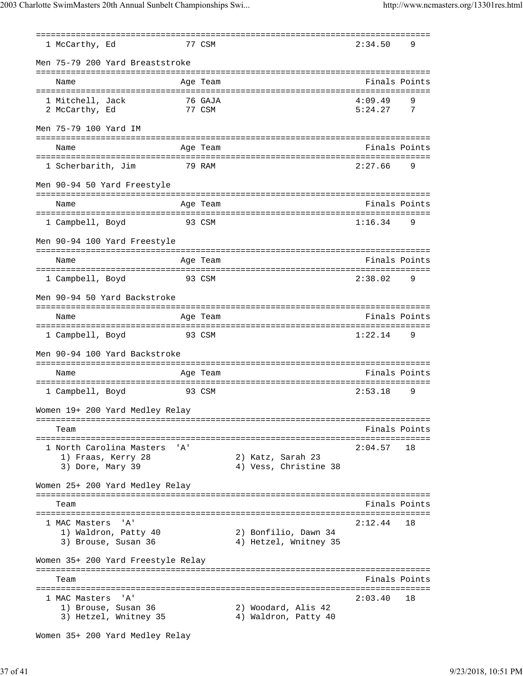=============================================================================== 1 McCarthy, Ed 77 CSM 2:34.50 9 Men 75-79 200 Yard Breaststroke =============================================================================== Name **Age Team** Age Team **Finals Points** =============================================================================== 1 Mitchell, Jack 76 GAJA 2 McCarthy, Ed 77 CSM 5:24.27 7 Men 75-79 100 Yard IM =============================================================================== Age Team and the South State of the South State Points Points =============================================================================== 1 Scherbarith, Jim 79 RAM 2:27.66 9 Men 90-94 50 Yard Freestyle =============================================================================== Name Age Team Finals Points =============================================================================== 1 Campbell, Boyd 93 CSM 1:16.34 9 Men 90-94 100 Yard Freestyle =============================================================================== Name Age Team Age Team Finals Points =============================================================================== 1 Campbell, Boyd 93 CSM 2:38.02 9 Men 90-94 50 Yard Backstroke =============================================================================== Name Age Team Finals Points =============================================================================== 1 Campbell, Boyd 93 CSM 1:22.14 9 Men 90-94 100 Yard Backstroke =============================================================================== Name Age Team Age Team Finals Points =============================================================================== 1 Campbell, Boyd 93 CSM 2:53.18 9 Women 19+ 200 Yard Medley Relay =============================================================================== Team Finals Points =============================================================================== 1 North Carolina Masters 'A' 2:04.57 18 1) Fraas, Kerry 28 2) Katz, Sarah 23 3) Dore, Mary 39 4) Vess, Christine 38 Women 25+ 200 Yard Medley Relay =============================================================================== Team Finals Points =============================================================================== 1 MAC Masters 'A' 2:12.44 18 1) Waldron, Patty 40 2) Bonfilio, Dawn 34 3) Brouse, Susan 36 4) Hetzel, Wnitney 35 Women 35+ 200 Yard Freestyle Relay =============================================================================== Team Finals Points =============================================================================== 1 MAC Masters 'A'<br>
1) Brouse, Susan 36 2) Woodard, Alis 42 1) Brouse, Susan 36 3) Hetzel, Wnitney 35 4) Waldron, Patty 40

Women 35+ 200 Yard Medley Relay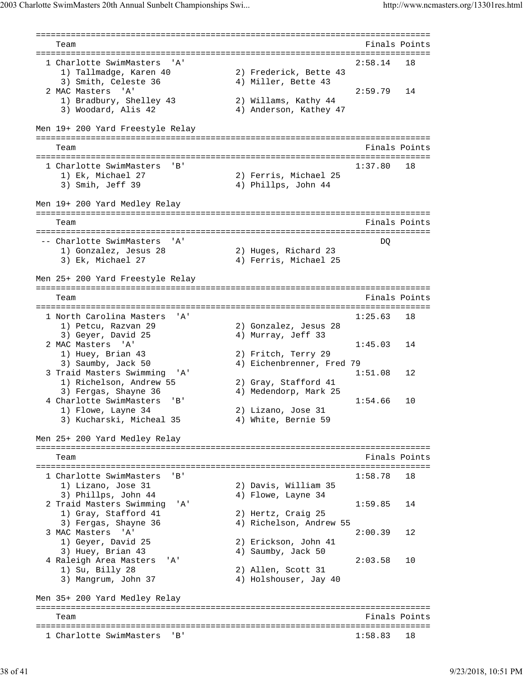```
===============================================================================
   Team Finals Points
===============================================================================
 1 Charlotte SwimMasters 'A' 2:58.14 18
 1) Tallmadge, Karen 40 2) Frederick, Bette 43
3) Smith, Celeste 36 4) Miller, Bette 43
 2 MAC Masters 'A' 2:59.79 14
 1) Bradbury, Shelley 43 2) Willams, Kathy 44
3) Woodard, Alis 42 4) Anderson, Kathey 47
Men 19+ 200 Yard Freestyle Relay
===============================================================================
   Team Finals Points Points Points Points Points Points Points Points Points Points Points Points Points Points Points Points Points Points Points Points Points Points Points Points Points Points Points Points Points Points 
===============================================================================
  1 Charlotte SwimMasters 'B' 1:37.80 18
     1) Ek, Michael 27 2) Ferris, Michael 25
                                 4) Phillps, John 44
Men 19+ 200 Yard Medley Relay
===============================================================================
   Team Finals Points
===============================================================================
 -- Charlotte SwimMasters 'A' DQ
 1) Gonzalez, Jesus 28 2) Huges, Richard 23
 3) Ek, Michael 27 4) Ferris, Michael 25
Men 25+ 200 Yard Freestyle Relay
===============================================================================
   Team Finals Points
===============================================================================
  1 North Carolina Masters 'A' 1:25.63 18
 1) Petcu, Razvan 29 2) Gonzalez, Jesus 28
3) Geyer, David 25 4) Murray, Jeff 33
 2 MAC Masters 'A' 1:45.03 14
 1) Huey, Brian 43 2) Fritch, Terry 29
   a a term of the set of the set of the set of the set of the set of the set of the set of the 1.1 of the 1.1 of the 1.1 of the 1.1 of the 1.1 of the 1.1 of the 1.1 of the 1.1 of the 1.1 of the 1.1 of the 1.1 of the 1.1 of t
 3 Traid Masters Swimming 'A' 1:51.08 12<br>1) Richelson, Andrew 55 2) Gray, Stafford 41
 1) Richelson, Andrew 55 2) Gray, Stafford 41
 3) Fergas, Shayne 36 4) Medendorp, Mark 25
 4 Charlotte SwimMasters 'B' 1:54.66 10
1) Flowe, Layne 34 2) Lizano, Jose 31
 3) Kucharski, Micheal 35 4) White, Bernie 59
Men 25+ 200 Yard Medley Relay
===============================================================================
  Team Finals Points
===============================================================================
  1 Charlotte SwimMasters 'B' 1:58.78 18
 1) Lizano, Jose 31 2) Davis, William 35
3) Phillps, John 44 4 4) Flowe, Layne 34
 2 Traid Masters Swimming 'A' 1:59.85 14
 1) Gray, Stafford 41 2) Hertz, Craig 25
 3) Fergas, Shayne 36 4) Richelson, Andrew 55
 3 MAC Masters 'A' 2:00.39 12
 1) Geyer, David 25 2) Erickson, John 41
3) Huey, Brian 43 4) Saumby, Jack 50
 4 Raleigh Area Masters 'A' 2:03.58 10<br>1) Su, Billy 28 2) Allen, Scott 31
 1) Su, Billy 28 2) Allen, Scott 31
 3) Mangrum, John 37 4) Holshouser, Jay 40
Men 35+ 200 Yard Medley Relay
===============================================================================
   Team Finals Points Points Points Points Points Points Points Points Points Points Points Points Points Points Points Points Points Points Points Points Points Points Points Points Points Points Points Points Points Points 
===============================================================================
 1 Charlotte SwimMasters 'B' 1:58.83 18
```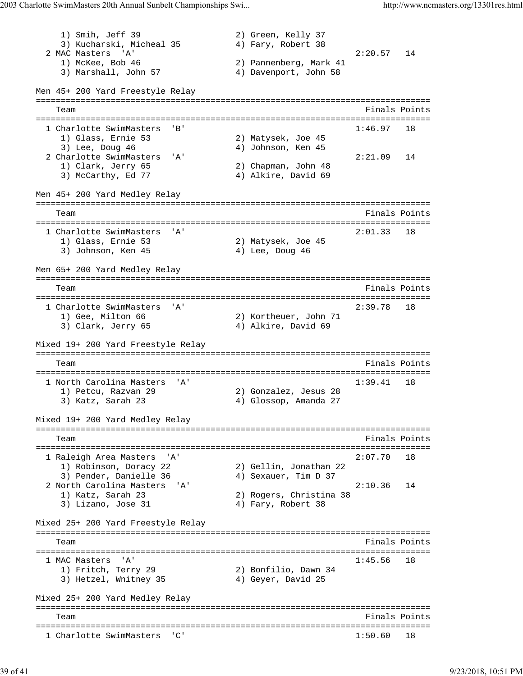1) Smih, Jeff 39 2) Green, Kelly 37<br>3) Kucharski, Micheal 35 4) Fary, Robert 38 3) Kucharski, Micheal 35 2 MAC Masters 'A' 2:20.57 14 1) McKee, Bob 46 2) Pannenberg, Mark 41 3) Marshall, John 57 4) Davenport, John 58 Men 45+ 200 Yard Freestyle Relay =============================================================================== Team Finals Points =============================================================================== 1 Charlotte SwimMasters 'B' 1:46.97 18 1) Glass, Ernie 53 2) Matysek, Joe 45 3) Lee, Doug 46 41 41 Johnson, Ken 45 2 Charlotte SwimMasters 'A' 2:21.09 14 1) Clark, Jerry 65 2) Chapman, John 48 3) McCarthy, Ed 77 (4) Alkire, David 69 Men 45+ 200 Yard Medley Relay =============================================================================== Team Finals Points =============================================================================== 1 Charlotte SwimMasters 'A' 2:01.33 18<br>1) Glass, Ernie 53 2) Matysek, Joe 45 1) Glass, Ernie 53 3) Johnson, Ken 45 4) Lee, Doug 46 Men 65+ 200 Yard Medley Relay =============================================================================== Team Finals Points =============================================================================== 1 Charlotte SwimMasters 'A' 2:39.78 18 1) Gee, Milton 66 2) Kortheuer, John 71 3) Clark, Jerry 65 4) Alkire, David 69 Mixed 19+ 200 Yard Freestyle Relay =============================================================================== Team Finals Points =============================================================================== 1 North Carolina Masters 'A' 1) Petcu, Razvan 29 2) Gonzalez, Jesus 28 3) Katz, Sarah 23 4) Glossop, Amanda 27 Mixed 19+ 200 Yard Medley Relay =============================================================================== Team Finals Points =============================================================================== 1 Raleigh Area Masters 'A' 2:07.70 18 1) Robinson, Doracy 22 2) Gellin, Jonathan 22 3) Pender, Danielle 36 (4) Sexauer, Tim D 37 2 North Carolina Masters 'A' 2:10.36 14 1) Katz, Sarah 23 2) Rogers, Christina 38 3) Lizano, Jose 31 4) Fary, Robert 38 Mixed 25+ 200 Yard Freestyle Relay =============================================================================== Team Finals Points =============================================================================== 1 MAC Masters 'A' 1:45.56 18 1) Fritch, Terry 29 2) Bonfilio, Dawn 34 3) Hetzel, Wnitney 35 (4) Geyer, David 25 Mixed 25+ 200 Yard Medley Relay =============================================================================== Team Finals Points =============================================================================== 1 Charlotte SwimMasters 'C' 1:50.60 18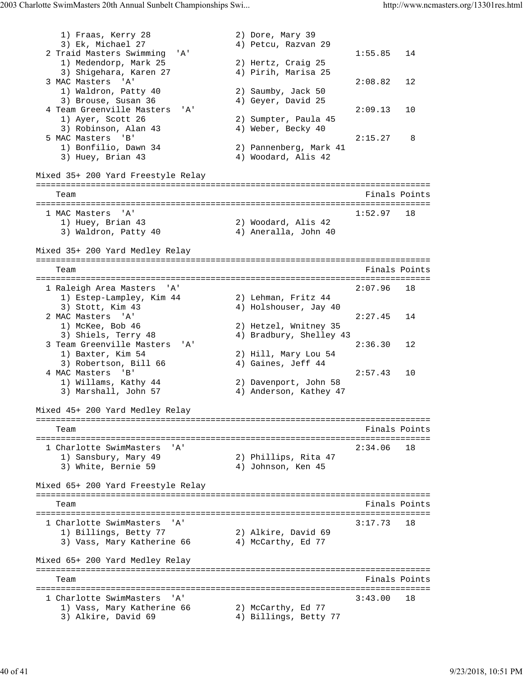```
1) Fraas, Kerry 28 2) Dore, Mary 39
3) Ek, Michael 27 (4) Petcu, Razvan 29
 2 Traid Masters Swimming 'A' 1:55.85 14<br>
1) Medendorp, Mark 25 2) Hertz, Craig 25
1) Medendorp, Mark 25 2) Hertz, Craig 25
 3) Shigehara, Karen 27 4) Pirih, Marisa 25
  3 MAC Masters 'A' 2:08.82 12
 1) Waldron, Patty 40 2) Saumby, Jack 50
3) Brouse, Susan 36 4) Geyer, David 25
 4 Team Greenville Masters 'A' 2:09.13 10<br>
1) Ayer, Scott 26 2) Sumpter, Paula 45<br>
3) Robinson, Alan 43 4) Weber, Becky 40
 1) Ayer, Scott 26 2) Sumpter, Paula 45
3) Robinson, Alan 43 4) Weber, Becky 40
 5 MAC Masters 'B' 2:15.27 8
 1) Bonfilio, Dawn 34 2) Pannenberg, Mark 41
   3) Huey, Brian 43 4) Woodard, Alis 42
Mixed 35+ 200 Yard Freestyle Relay
===============================================================================
  Team Finals Points
===============================================================================
  MAC Masters 'A' 1:52.97 18<br>1) Huey, Brian 43 2) Woodard, Alis 42
                         2) Woodard, Alis 42
   3) Waldron, Patty 40 4) Aneralla, John 40
Mixed 35+ 200 Yard Medley Relay
===============================================================================
   Team Finals Points
===============================================================================
 1 Raleigh Area Masters 'A' 2:07.96 18
 1) Estep-Lampley, Kim 44 2) Lehman, Fritz 44
3) Stott, Kim 43 4) Holshouser, Jay 40
 2 MAC Masters 'A' 2:27.45 14
 1) McKee, Bob 46 2) Hetzel, Wnitney 35
 3) Shiels, Terry 48 4) Bradbury, Shelley 43
 3 Team Greenville Masters 'A' 2:36.30 12
 1) Baxter, Kim 54 2) Hill, Mary Lou 54
3) Robertson, Bill 66 4) Gaines, Jeff 44
 4 MAC Masters 'B' 2:57.43 10
 1) Willams, Kathy 44 2) Davenport, John 58
 3) Marshall, John 57 4) Anderson, Kathey 47
Mixed 45+ 200 Yard Medley Relay
===============================================================================
   Team Finals Points
===============================================================================
  1 Charlotte SwimMasters 'A' 2:34.06 18
 1) Sansbury, Mary 49 2) Phillips, Rita 47
3) White, Bernie 59 (4) Johnson, Ken 45
Mixed 65+ 200 Yard Freestyle Relay
===============================================================================
   Team Finals Points
===============================================================================
 1 Charlotte SwimMasters 'A' 3:17.73 18
 1) Billings, Betty 77 2) Alkire, David 69
3) Vass, Mary Katherine 66 \hskip 1.6cm 4 McCarthy, Ed 77
Mixed 65+ 200 Yard Medley Relay
===============================================================================
                                     Finals Points
===============================================================================
 1 Charlotte SwimMasters 'A'
1) Vass, Mary Katherine 66 2) McCarthy, Ed 77
3) Alkire, David 69 4) Billings, Betty 77
```